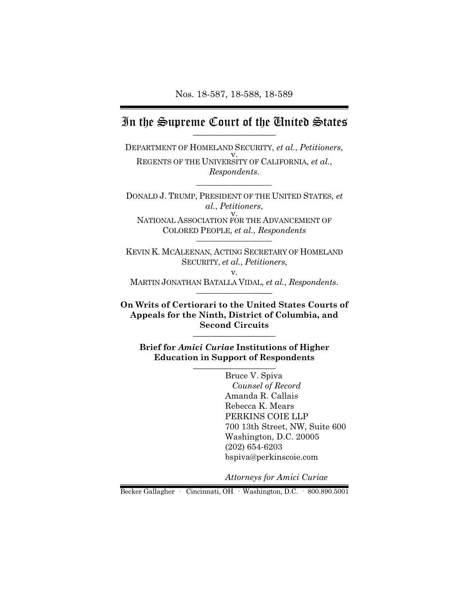## In the Supreme Court of the United States  $\overline{\phantom{a}}$  , where  $\overline{\phantom{a}}$

DEPARTMENT OF HOMELAND SECURITY, *et al.*, *Petitioners,* v. REGENTS OF THE UNIVERSITY OF CALIFORNIA, *et al.*, *Respondents*.

\_\_\_\_\_\_\_\_\_\_\_\_\_\_\_\_\_\_

DONALD J. TRUMP, PRESIDENT OF THE UNITED STATES, *et al.*, *Petitioners*, v. NATIONAL ASSOCIATION FOR THE ADVANCEMENT OF COLORED PEOPLE, *et al.*, *Respondents* \_\_\_\_\_\_\_\_\_\_\_\_\_\_\_\_\_\_

KEVIN K. MCALEENAN, ACTING SECRETARY OF HOMELAND SECURITY, *et al.*, *Petitioners*, v.

MARTIN JONATHAN BATALLA VIDAL, *et al.*, *Respondents*.  $\overline{\phantom{a}}$ 

**On Writs of Certiorari to the United States Courts of Appeals for the Ninth, District of Columbia, and Second Circuits** \_\_\_\_\_\_\_\_\_\_\_\_\_\_\_\_\_\_

**Brief for** *Amici Curiae* **Institutions of Higher Education in Support of Respondents**  $\overline{\phantom{a}}$   $\overline{\phantom{a}}$   $\overline{\phantom{a}}$   $\overline{\phantom{a}}$   $\overline{\phantom{a}}$   $\overline{\phantom{a}}$   $\overline{\phantom{a}}$   $\overline{\phantom{a}}$   $\overline{\phantom{a}}$   $\overline{\phantom{a}}$   $\overline{\phantom{a}}$   $\overline{\phantom{a}}$   $\overline{\phantom{a}}$   $\overline{\phantom{a}}$   $\overline{\phantom{a}}$   $\overline{\phantom{a}}$   $\overline{\phantom{a}}$   $\overline{\phantom{a}}$   $\overline{\$ 

> Bruce V. Spiva *Counsel of Record* Amanda R. Callais Rebecca K. Mears PERKINS COIE LLP 700 13th Street, NW, Suite 600 Washington, D.C. 20005 (202) 654-6203 bspiva@perkinscoie.com

*Attorneys for Amici Curiae* 

Becker Gallagher · Cincinnati, OH · Washington, D.C. · 800.890.5001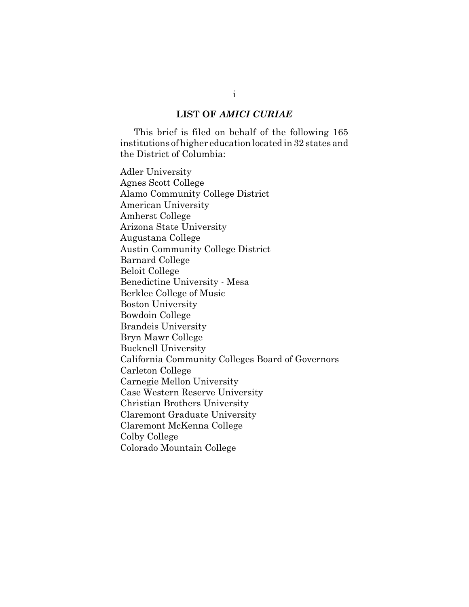#### **LIST OF** *AMICI CURIAE*

This brief is filed on behalf of the following 165 institutions of higher education located in 32 states and the District of Columbia:

Adler University Agnes Scott College Alamo Community College District American University Amherst College Arizona State University Augustana College Austin Community College District Barnard College Beloit College Benedictine University - Mesa Berklee College of Music Boston University Bowdoin College Brandeis University Bryn Mawr College Bucknell University California Community Colleges Board of Governors Carleton College Carnegie Mellon University Case Western Reserve University Christian Brothers University Claremont Graduate University Claremont McKenna College Colby College Colorado Mountain College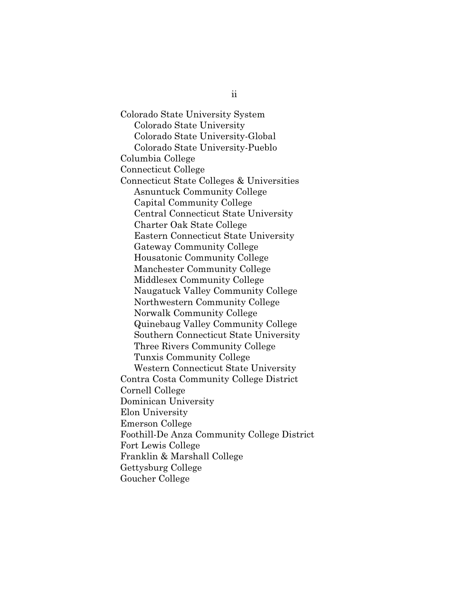Colorado State University System Colorado State University Colorado State University-Global Colorado State University-Pueblo Columbia College Connecticut College Connecticut State Colleges & Universities Asnuntuck Community College Capital Community College Central Connecticut State University Charter Oak State College Eastern Connecticut State University Gateway Community College Housatonic Community College Manchester Community College Middlesex Community College Naugatuck Valley Community College Northwestern Community College Norwalk Community College Quinebaug Valley Community College Southern Connecticut State University Three Rivers Community College Tunxis Community College Western Connecticut State University Contra Costa Community College District Cornell College Dominican University Elon University Emerson College Foothill-De Anza Community College District Fort Lewis College Franklin & Marshall College Gettysburg College Goucher College

ii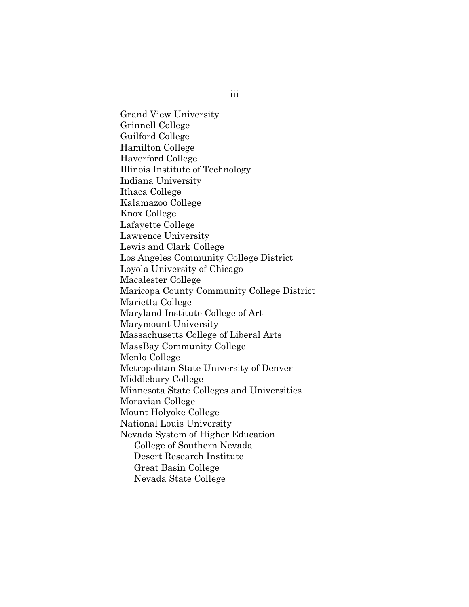Grand View University Grinnell College Guilford College Hamilton College Haverford College Illinois Institute of Technology Indiana University Ithaca College Kalamazoo College Knox College Lafayette College Lawrence University Lewis and Clark College Los Angeles Community College District Loyola University of Chicago Macalester College Maricopa County Community College District Marietta College Maryland Institute College of Art Marymount University Massachusetts College of Liberal Arts MassBay Community College Menlo College Metropolitan State University of Denver Middlebury College Minnesota State Colleges and Universities Moravian College Mount Holyoke College National Louis University Nevada System of Higher Education College of Southern Nevada Desert Research Institute Great Basin College Nevada State College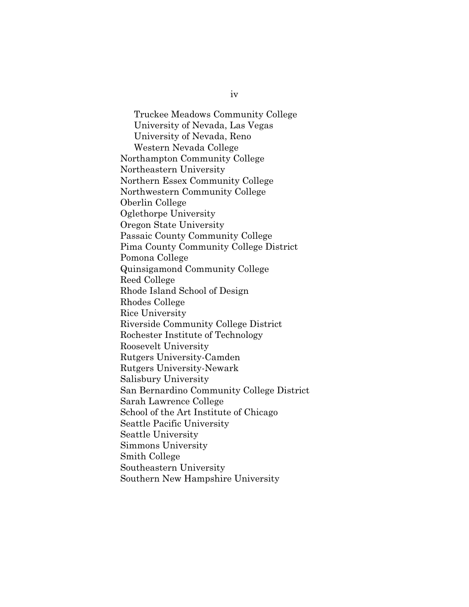Truckee Meadows Community College University of Nevada, Las Vegas University of Nevada, Reno Western Nevada College Northampton Community College Northeastern University Northern Essex Community College Northwestern Community College Oberlin College Oglethorpe University Oregon State University Passaic County Community College Pima County Community College District Pomona College Quinsigamond Community College Reed College Rhode Island School of Design Rhodes College Rice University Riverside Community College District Rochester Institute of Technology Roosevelt University Rutgers University-Camden Rutgers University-Newark Salisbury University San Bernardino Community College District Sarah Lawrence College School of the Art Institute of Chicago Seattle Pacific University Seattle University Simmons University Smith College Southeastern University Southern New Hampshire University

iv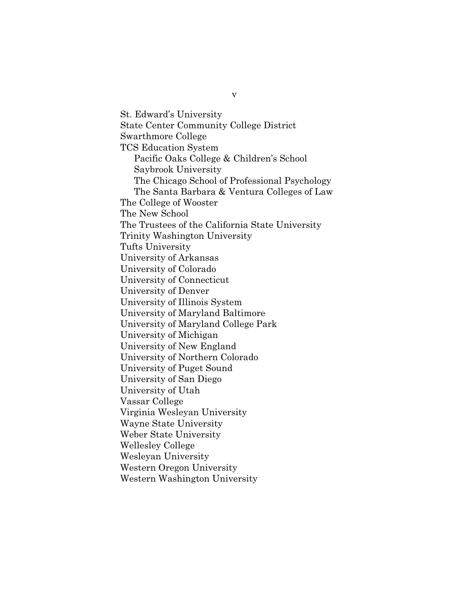St. Edward's University State Center Community College District Swarthmore College TCS Education System Pacific Oaks College & Children's School Saybrook University The Chicago School of Professional Psychology The Santa Barbara & Ventura Colleges of Law The College of Wooster The New School The Trustees of the California State University Trinity Washington University Tufts University University of Arkansas University of Colorado University of Connecticut University of Denver University of Illinois System University of Maryland Baltimore University of Maryland College Park University of Michigan University of New England University of Northern Colorado University of Puget Sound University of San Diego University of Utah Vassar College Virginia Wesleyan University Wayne State University Weber State University Wellesley College Wesleyan University Western Oregon University Western Washington University

v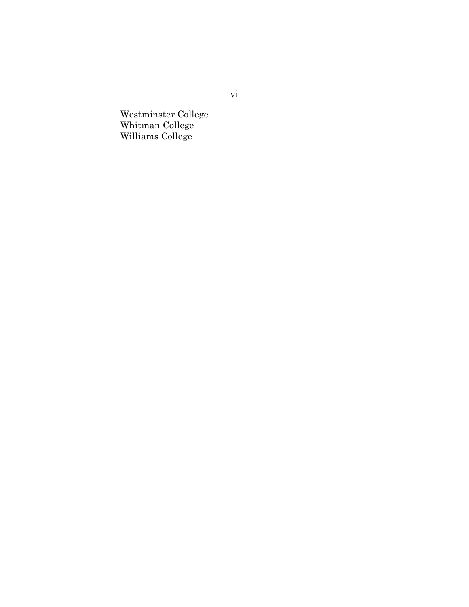Westminster College Whitman College Williams College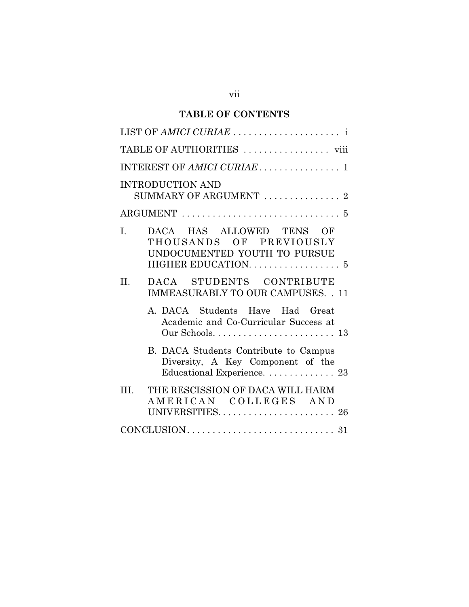# **TABLE OF CONTENTS**

| TABLE OF AUTHORITIES  viii                                                                                                   |
|------------------------------------------------------------------------------------------------------------------------------|
|                                                                                                                              |
| <b>INTRODUCTION AND</b><br>SUMMARY OF ARGUMENT  2                                                                            |
| ARGUMENT $\ldots \ldots \ldots \ldots \ldots \ldots \ldots \ldots \ldots 5$                                                  |
| DACA HAS ALLOWED TENS OF<br>$\mathbf{I}$ .<br>THOUSANDS OF PREVIOUSLY<br>UNDOCUMENTED YOUTH TO PURSUE<br>HIGHER EDUCATION. 5 |
| DACA STUDENTS CONTRIBUTE<br>II.<br><b>IMMEASURABLY TO OUR CAMPUSES. . 11</b>                                                 |
| A. DACA Students Have Had Great<br>Academic and Co-Curricular Success at                                                     |
| B. DACA Students Contribute to Campus<br>Diversity, A Key Component of the<br>Educational Experience. 23                     |
| THE RESCISSION OF DACA WILL HARM<br>III.<br>AMERICAN COLLEGES AND<br>UNIVERSITIES 26                                         |
|                                                                                                                              |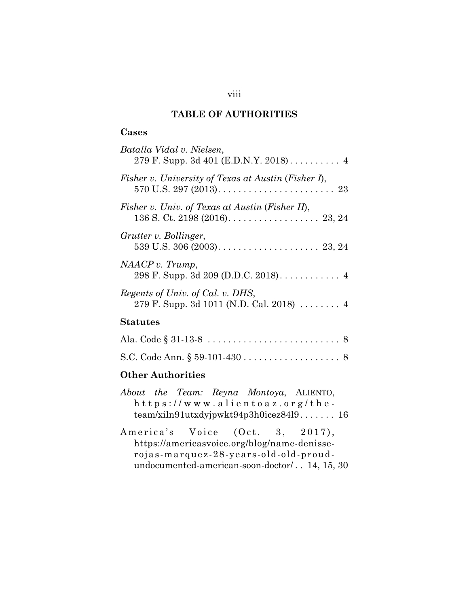## **TABLE OF AUTHORITIES**

## **Cases**

| Batalla Vidal v. Nielsen,                                                                                                                |
|------------------------------------------------------------------------------------------------------------------------------------------|
| Fisher v. University of Texas at Austin (Fisher I),<br>570 U.S. 297 (2013). $\ldots \ldots \ldots \ldots \ldots \ldots \ldots \ldots 23$ |
| Fisher v. Univ. of Texas at Austin (Fisher II),                                                                                          |
| Grutter v. Bollinger,<br>539 U.S. 306 (2003). $\ldots$ . 23, 24                                                                          |
| NAACP v. Trump,                                                                                                                          |
| Regents of Univ. of Cal. v. DHS,<br>279 F. Supp. 3d 1011 (N.D. Cal. 2018) $\ldots \ldots$ 4                                              |
| Statutes                                                                                                                                 |
|                                                                                                                                          |
|                                                                                                                                          |

#### **Other Authorities**

|  |  | About the Team: Reyna Montoya, ALIENTO, |  |
|--|--|-----------------------------------------|--|
|  |  | $h$ ttps://www.alientoaz.org/the-       |  |
|  |  | $team/xiln91utxdyjpwkt94p3h0icez84l916$ |  |

America's Voice (Oct. 3, 2017), https://americasvoice.org/blog/name-denisserojas-marquez-28-years-old-old-proudundocumented-american-soon-doctor/ . . 14, 15, 30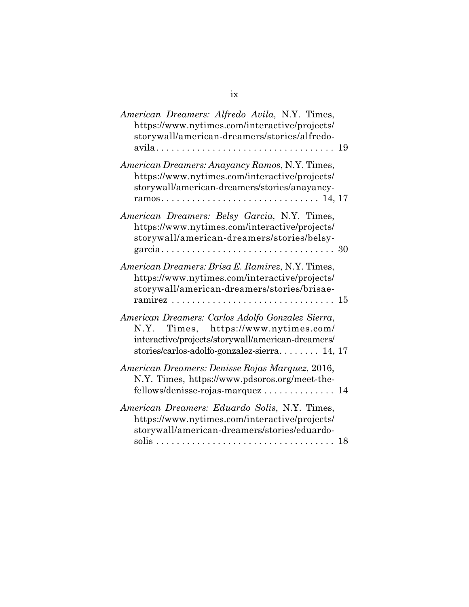| American Dreamers: Alfredo Avila, N.Y. Times,<br>https://www.nytimes.com/interactive/projects/<br>storywall/american-dreamers/stories/alfredo-                                                   |  |
|--------------------------------------------------------------------------------------------------------------------------------------------------------------------------------------------------|--|
| American Dreamers: Anayancy Ramos, N.Y. Times,<br>https://www.nytimes.com/interactive/projects/<br>storywall/american-dreamers/stories/anayancy-                                                 |  |
| American Dreamers: Belsy Garcia, N.Y. Times,<br>https://www.nytimes.com/interactive/projects/<br>storywall/american-dreamers/stories/belsy-                                                      |  |
| American Dreamers: Brisa E. Ramirez, N.Y. Times,<br>https://www.nytimes.com/interactive/projects/<br>storywall/american-dreamers/stories/brisae-<br>ramirez.                                     |  |
| American Dreamers: Carlos Adolfo Gonzalez Sierra,<br>N.Y. Times, https://www.nytimes.com/<br>interactive/projects/storywall/american-dreamers/<br>stories/carlos-adolfo-gonzalez-sierra $14, 17$ |  |
| American Dreamers: Denisse Rojas Marquez, 2016,<br>N.Y. Times, https://www.pdsoros.org/meet-the-<br>fellows/denisse-rojas-marquez 14                                                             |  |
| American Dreamers: Eduardo Solis, N.Y. Times,<br>https://www.nytimes.com/interactive/projects/<br>storywall/american-dreamers/stories/eduardo-<br>18                                             |  |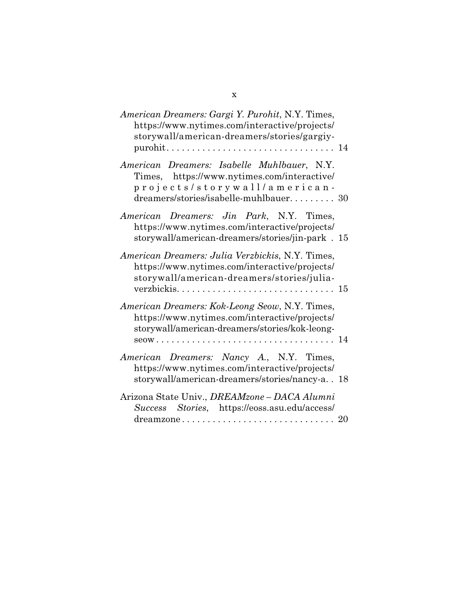| American Dreamers: Gargi Y. Purohit, N.Y. Times,<br>https://www.nytimes.com/interactive/projects/<br>storywall/american-dreamers/stories/gargiy-<br>purohit                                                                                 | $\ldots$ 14 |
|---------------------------------------------------------------------------------------------------------------------------------------------------------------------------------------------------------------------------------------------|-------------|
| American Dreamers: Isabelle Muhlbauer, N.Y.<br>Times, https://www.nytimes.com/interactive/<br>projects/storywall/american-<br>dreamers/stories/isabelle-muhlbauer 30                                                                        |             |
| American Dreamers: Jin Park, N.Y. Times,<br>https://www.nytimes.com/interactive/projects/<br>storywall/american-dreamers/stories/jin-park . 15                                                                                              |             |
| American Dreamers: Julia Verzbickis, N.Y. Times,<br>https://www.nytimes.com/interactive/projects/<br>storywall/american-dreamers/stories/julia-                                                                                             |             |
| American Dreamers: Kok-Leong Seow, N.Y. Times,<br>https://www.nytimes.com/interactive/projects/<br>storywall/american-dreamers/stories/kok-leong-<br>$seow \ldots \ldots \ldots \ldots \ldots \ldots \ldots \ldots \ldots \ldots \ldots 14$ |             |
| American Dreamers: Nancy A., N.Y. Times,<br>https://www.nytimes.com/interactive/projects/<br>storywall/american-dreamers/stories/nancy-a. . 18                                                                                              |             |
| Arizona State Univ., DREAMzone - DACA Alumni<br>Success Stories, https://eoss.asu.edu/access/                                                                                                                                               |             |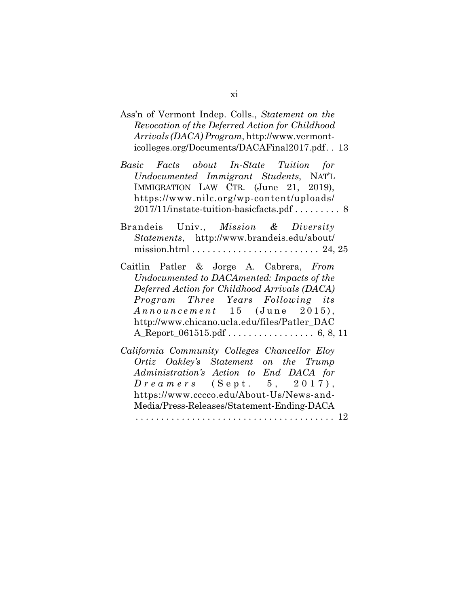- Ass'n of Vermont Indep. Colls., *Statement on the Revocation of the Deferred Action for Childhood Arrivals (DACA) Program*, http://www.vermonticolleges.org/Documents/DACAFinal2017.pdf. . 13
- *Basic Facts about In-State Tuition for Undocumented Immigrant Students*, NAT'L IMMIGRATION LAW CTR. (June 21, 2019), https://www.nilc.org/wp-content/uploads/ 2017/11/instate-tuition-basicfacts.pdf . . . . . . . . 8
- Brandeis Univ., *Mission & Diversity Statements*, http://www.brandeis.edu/about/ mission.html  $\dots \dots \dots \dots \dots \dots \dots \dots \dots \dots \dots$  24, 25
- Caitlin Patler & Jorge A. Cabrera, *From Undocumented to DACAmented: Impacts of the Deferred Action for Childhood Arrivals (DACA) Program Three Years Following its Announcement* 15 (June 2015), http://www.chicano.ucla.edu/files/Patler\_DAC A\_Report\_061515.pdf . . . . . . . . . . . . . . . . . 6, 8, 11
- *California Community Colleges Chancellor Eloy Ortiz Oakley's Statement on the Trump Administration's Action to End DACA for D r e a m e r s* (S e p t . 5, 2017), https://www.cccco.edu/About-Us/News-and-Media/Press-Releases/Statement-Ending-DACA . . . . . . . . . . . . . . . . . . . . . . . . . . . . . . . . . . . . . . . 12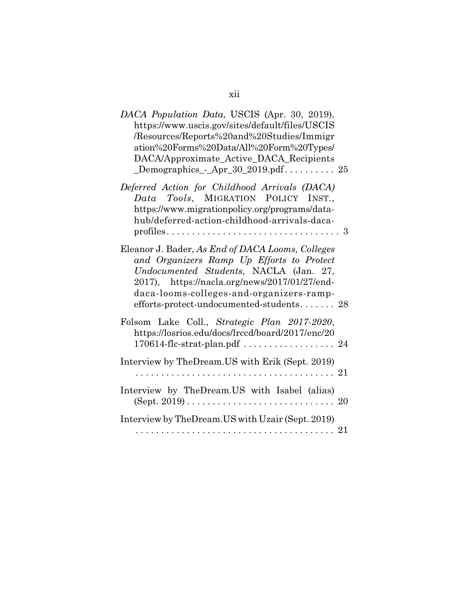| DACA Population Data, USCIS (Apr. 30, 2019),<br>https://www.uscis.gov/sites/default/files/USCIS<br>/Resources/Reports%20and%20Studies/Immigr<br>ation%20Forms%20Data/All%20Form%20Types/<br>DACA/Approximate_Active_DACA_Recipients<br>$\text{\_Demographs}$ $\text{-} \text{Apr}\text{-}30\text{-}2019.\text{pdf}\dots\dots\dots \cdot 25$ |
|---------------------------------------------------------------------------------------------------------------------------------------------------------------------------------------------------------------------------------------------------------------------------------------------------------------------------------------------|
| Deferred Action for Childhood Arrivals (DACA)<br>Data Tools, MIGRATION POLICY INST.,<br>https://www.migrationpolicy.org/programs/data-<br>hub/deferred-action-childhood-arrivals-daca-                                                                                                                                                      |
| Eleanor J. Bader, As End of DACA Looms, Colleges<br>and Organizers Ramp Up Efforts to Protect<br>Undocumented Students, NACLA (Jan. 27,<br>2017), https://nacla.org/news/2017/01/27/end-<br>daca-looms-colleges-and-organizers-ramp-<br>efforts-protect-undocumented-students 28                                                            |
| Folsom Lake Coll., Strategic Plan 2017-2020,<br>https://losrios.edu/docs/lrccd/board/2017/enc/20<br>170614-flc-strat-plan.pdf  24                                                                                                                                                                                                           |
| Interview by TheDream.US with Erik (Sept. 2019)                                                                                                                                                                                                                                                                                             |
| Interview by TheDream.US with Isabel (alias)                                                                                                                                                                                                                                                                                                |
| Interview by TheDream. US with Uzair (Sept. 2019)                                                                                                                                                                                                                                                                                           |

xii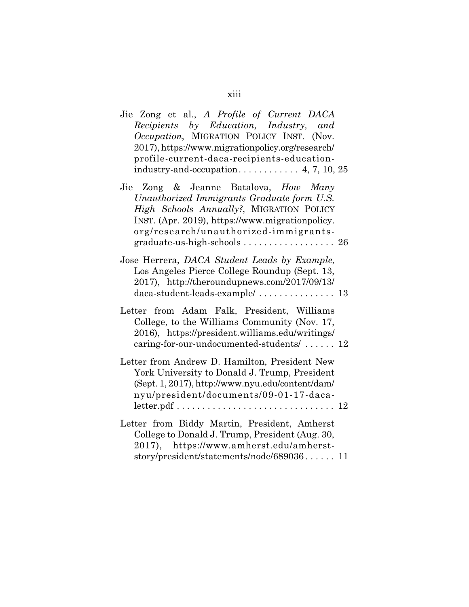| Jie Zong et al., A Profile of Current DACA<br>Recipients by Education, Industry, and<br>Occupation, MIGRATION POLICY INST. (Nov.<br>2017), https://www.migrationpolicy.org/research/<br>profile-current-daca-recipients-education-                         |
|------------------------------------------------------------------------------------------------------------------------------------------------------------------------------------------------------------------------------------------------------------|
| Jie Zong & Jeanne Batalova, How Many<br>Unauthorized Immigrants Graduate form U.S.<br>High Schools Annually?, MIGRATION POLICY<br>INST. (Apr. 2019), https://www.migrationpolicy.<br>org/research/unauthorized-immigrants-<br>graduate-us-high-schools  26 |
| Jose Herrera, DACA Student Leads by Example,<br>Los Angeles Pierce College Roundup (Sept. 13,<br>2017), http://theroundupnews.com/2017/09/13/                                                                                                              |
| Letter from Adam Falk, President, Williams<br>College, to the Williams Community (Nov. 17,<br>2016), https://president.williams.edu/writings/<br>caring-for-our-undocumented-students/ 12                                                                  |
| Letter from Andrew D. Hamilton, President New<br>York University to Donald J. Trump, President<br>(Sept. 1, 2017), http://www.nyu.edu/content/dam/<br>nyu/president/documents/09-01-17-daca-                                                               |
| Letter from Biddy Martin, President, Amherst<br>College to Donald J. Trump, President (Aug. 30,<br>2017), https://www.amherst.edu/amherst-<br>story/president/statements/node/689036 11                                                                    |

xiii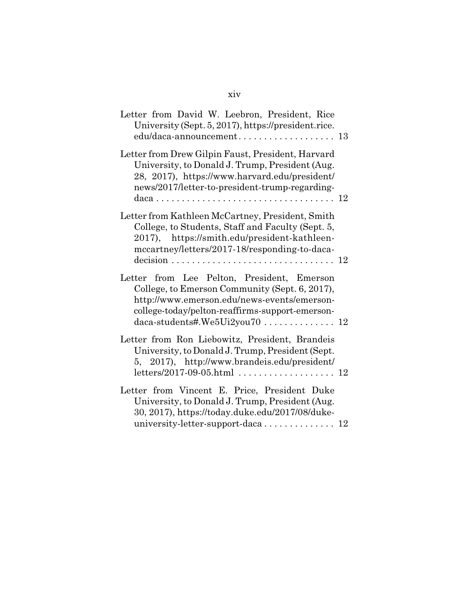| Letter from David W. Leebron, President, Rice<br>University (Sept. 5, 2017), https://president.rice.                                                                                                                                |  |
|-------------------------------------------------------------------------------------------------------------------------------------------------------------------------------------------------------------------------------------|--|
| Letter from Drew Gilpin Faust, President, Harvard<br>University, to Donald J. Trump, President (Aug.<br>28, 2017), https://www.harvard.edu/president/<br>news/2017/letter-to-president-trump-regarding-                             |  |
| Letter from Kathleen McCartney, President, Smith<br>College, to Students, Staff and Faculty (Sept. 5,<br>2017), https://smith.edu/president-kathleen-<br>mccartney/letters/2017-18/responding-to-daca-                              |  |
| Letter from Lee Pelton, President, Emerson<br>College, to Emerson Community (Sept. 6, 2017),<br>http://www.emerson.edu/news-events/emerson-<br>college-today/pelton-reaffirms-support-emerson-<br>$daca-students\#. We5Ui2you70 12$ |  |
| Letter from Ron Liebowitz, President, Brandeis<br>University, to Donald J. Trump, President (Sept.<br>5, 2017), http://www.brandeis.edu/president/                                                                                  |  |
| Letter from Vincent E. Price, President Duke<br>University, to Donald J. Trump, President (Aug.<br>30, 2017), https://today.duke.edu/2017/08/duke-<br>university-letter-support-daca 12                                             |  |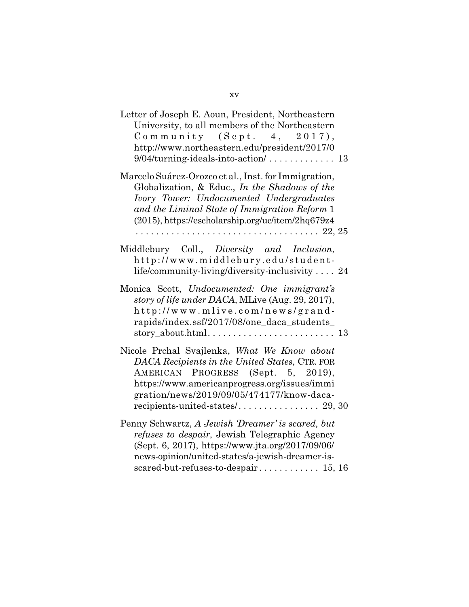| Letter of Joseph E. Aoun, President, Northeastern<br>University, to all members of the Northeastern<br>Community $(Sept. 4, 2017),$<br>http://www.northeastern.edu/president/2017/0                                                                       |  |
|-----------------------------------------------------------------------------------------------------------------------------------------------------------------------------------------------------------------------------------------------------------|--|
| Marcelo Suárez-Orozco et al., Inst. for Immigration,<br>Globalization, & Educ., In the Shadows of the<br>Ivory Tower: Undocumented Undergraduates<br>and the Liminal State of Immigration Reform 1<br>(2015), https://escholarship.org/uc/item/2hq679z4   |  |
| Middlebury Coll., Diversity and Inclusion,<br>http://www.middlebury.edu/student-<br>life/community-living/diversity-inclusivity  24                                                                                                                       |  |
| Monica Scott, Undocumented: One immigrant's<br>story of life under DACA, MLive (Aug. 29, 2017),<br>http://www.mlive.com/news/grand-<br>rapids/index.ssf/2017/08/one_daca_students_                                                                        |  |
| Nicole Prchal Svajlenka, What We Know about<br>DACA Recipients in the United States, CTR. FOR<br>AMERICAN PROGRESS (Sept. 5, 2019),<br>https://www.americanprogress.org/issues/immi<br>gration/news/2019/09/05/474177/know-daca-                          |  |
| Penny Schwartz, A Jewish 'Dreamer' is scared, but<br><i>refuses to despair</i> , Jewish Telegraphic Agency<br>(Sept. 6, 2017), https://www.jta.org/2017/09/06/<br>news-opinion/united-states/a-jewish-dreamer-is-<br>scared-but-refuses-to-despair 15, 16 |  |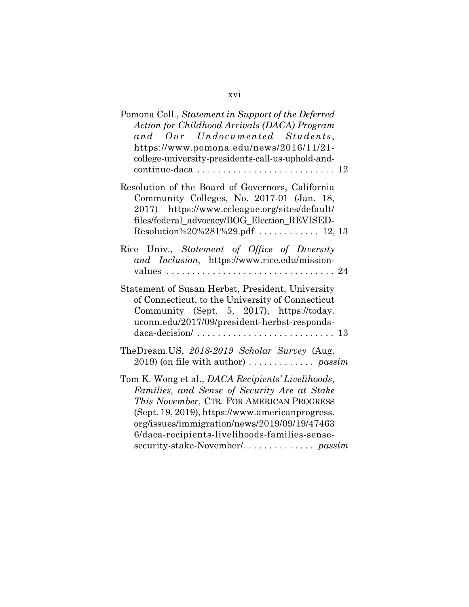# xvi

| Pomona Coll., Statement in Support of the Deferred<br>Action for Childhood Arrivals (DACA) Program<br>and Our Undocumented Students,<br>https://www.pomona.edu/news/2016/11/21-<br>college-university-presidents-call-us-uphold-and-                                                               |
|----------------------------------------------------------------------------------------------------------------------------------------------------------------------------------------------------------------------------------------------------------------------------------------------------|
| Resolution of the Board of Governors, California<br>Community Colleges, No. 2017-01 (Jan. 18,<br>2017) https://www.ccleague.org/sites/default/<br>files/federal_advocacy/BOG_Election_REVISED-<br>Resolution%20%281%29.pdf  12, 13                                                                 |
| Rice Univ., Statement of Office of Diversity<br>and Inclusion, https://www.rice.edu/mission-                                                                                                                                                                                                       |
| Statement of Susan Herbst, President, University<br>of Connecticut, to the University of Connecticut<br>Community (Sept. 5, 2017), https://today.<br>uconn.edu/2017/09/president-herbst-responds-<br>$daca\text{-}decision / \dots \dots \dots \dots \dots \dots \dots \dots \dots \dots 13$       |
| TheDream.US, 2018-2019 Scholar Survey (Aug.<br>$2019$ ) (on file with author)  passim                                                                                                                                                                                                              |
| Tom K. Wong et al., DACA Recipients' Livelihoods,<br>Families, and Sense of Security Are at Stake<br>This November, CTR. FOR AMERICAN PROGRESS<br>(Sept. 19, 2019), https://www.americanprogress.<br>org/issues/immigration/news/2019/09/19/47463<br>6/daca-recipients-livelihoods-families-sense- |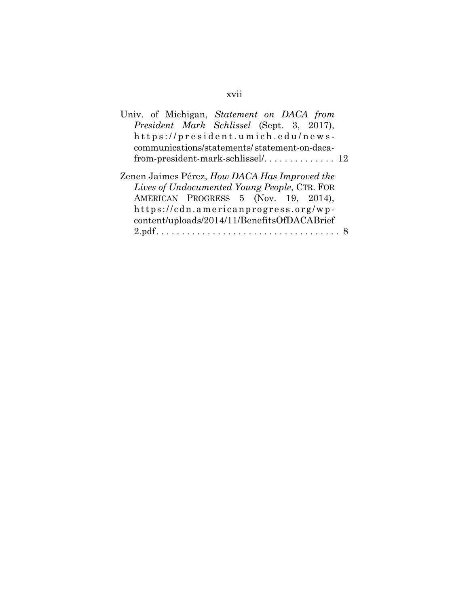# xvii

| Univ. of Michigan, Statement on DACA from                                                                                                                                                                                    |  |
|------------------------------------------------------------------------------------------------------------------------------------------------------------------------------------------------------------------------------|--|
| President Mark Schlissel (Sept. 3, 2017),                                                                                                                                                                                    |  |
| https://president.umich.edu/news-                                                                                                                                                                                            |  |
| communications/statements/statement-on-daca-                                                                                                                                                                                 |  |
|                                                                                                                                                                                                                              |  |
| Zenen Jaimes Pérez, How DACA Has Improved the<br>Lives of Undocumented Young People, CTR. FOR<br>AMERICAN PROGRESS 5 (Nov. 19, 2014),<br>https://cdn.americanprogress.org/wp-<br>content/uploads/2014/11/BenefitsOfDACABrief |  |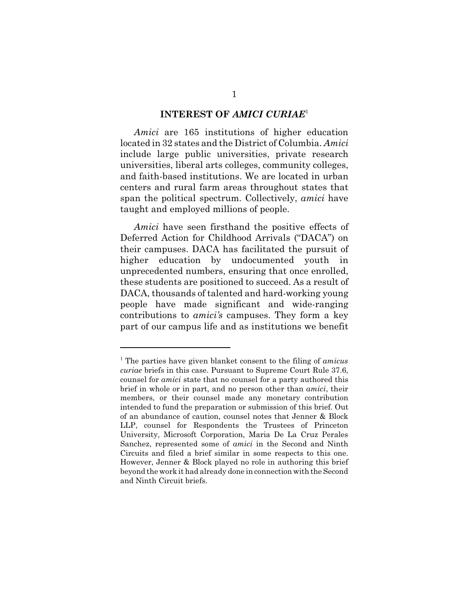#### **INTEREST OF** *AMICI CURIAE*<sup>1</sup>

*Amici* are 165 institutions of higher education located in 32 states and the District of Columbia. *Amici* include large public universities, private research universities, liberal arts colleges, community colleges, and faith-based institutions. We are located in urban centers and rural farm areas throughout states that span the political spectrum. Collectively, *amici* have taught and employed millions of people.

*Amici* have seen firsthand the positive effects of Deferred Action for Childhood Arrivals ("DACA") on their campuses. DACA has facilitated the pursuit of higher education by undocumented youth in unprecedented numbers, ensuring that once enrolled, these students are positioned to succeed. As a result of DACA, thousands of talented and hard-working young people have made significant and wide-ranging contributions to *amici's* campuses. They form a key part of our campus life and as institutions we benefit

<sup>1</sup> The parties have given blanket consent to the filing of *amicus curiae* briefs in this case. Pursuant to Supreme Court Rule 37.6, counsel for *amici* state that no counsel for a party authored this brief in whole or in part, and no person other than *amici*, their members, or their counsel made any monetary contribution intended to fund the preparation or submission of this brief. Out of an abundance of caution, counsel notes that Jenner & Block LLP, counsel for Respondents the Trustees of Princeton University, Microsoft Corporation, Maria De La Cruz Perales Sanchez, represented some of *amici* in the Second and Ninth Circuits and filed a brief similar in some respects to this one. However, Jenner & Block played no role in authoring this brief beyond the work it had already done in connection with the Second and Ninth Circuit briefs.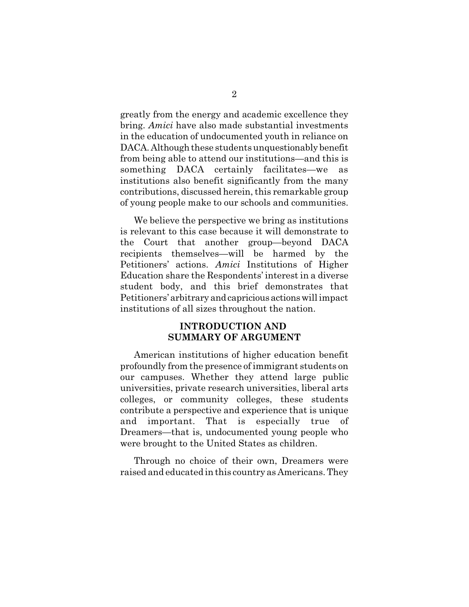greatly from the energy and academic excellence they bring. *Amici* have also made substantial investments in the education of undocumented youth in reliance on DACA. Although these students unquestionably benefit from being able to attend our institutions—and this is something DACA certainly facilitates—we institutions also benefit significantly from the many contributions, discussed herein, this remarkable group of young people make to our schools and communities.

We believe the perspective we bring as institutions is relevant to this case because it will demonstrate to the Court that another group—beyond DACA recipients themselves—will be harmed by the Petitioners' actions. *Amici* Institutions of Higher Education share the Respondents' interest in a diverse student body, and this brief demonstrates that Petitioners' arbitrary and capricious actions will impact institutions of all sizes throughout the nation.

## **INTRODUCTION AND SUMMARY OF ARGUMENT**

American institutions of higher education benefit profoundly from the presence of immigrant students on our campuses. Whether they attend large public universities, private research universities, liberal arts colleges, or community colleges, these students contribute a perspective and experience that is unique and important. That is especially true of Dreamers—that is, undocumented young people who were brought to the United States as children.

Through no choice of their own, Dreamers were raised and educated in this country as Americans. They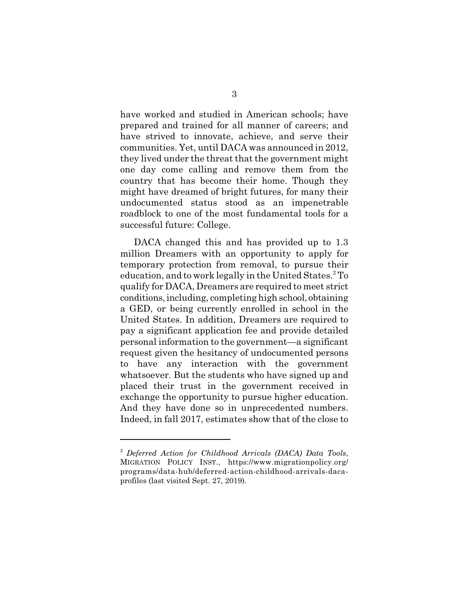have worked and studied in American schools; have prepared and trained for all manner of careers; and have strived to innovate, achieve, and serve their communities. Yet, until DACA was announced in 2012, they lived under the threat that the government might one day come calling and remove them from the country that has become their home. Though they might have dreamed of bright futures, for many their undocumented status stood as an impenetrable roadblock to one of the most fundamental tools for a successful future: College.

DACA changed this and has provided up to 1.3 million Dreamers with an opportunity to apply for temporary protection from removal, to pursue their education, and to work legally in the United States.<sup>2</sup> To qualify for DACA, Dreamers are required to meet strict conditions, including, completing high school, obtaining a GED, or being currently enrolled in school in the United States. In addition, Dreamers are required to pay a significant application fee and provide detailed personal information to the government—a significant request given the hesitancy of undocumented persons to have any interaction with the government whatsoever. But the students who have signed up and placed their trust in the government received in exchange the opportunity to pursue higher education. And they have done so in unprecedented numbers. Indeed, in fall 2017, estimates show that of the close to

<sup>2</sup> *Deferred Action for Childhood Arrivals (DACA) Data Tools*, MIGRATION POLICY INST., https://www.migrationpolicy.org/ programs/data-hub/deferred-action-childhood-arrivals-dacaprofiles (last visited Sept. 27, 2019).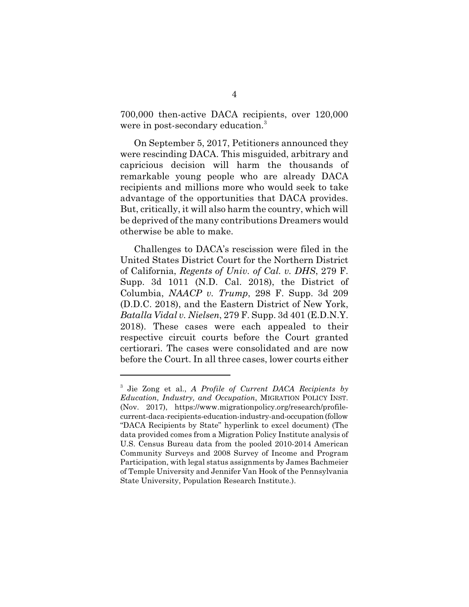700,000 then-active DACA recipients, over 120,000 were in post-secondary education.<sup>3</sup>

On September 5, 2017, Petitioners announced they were rescinding DACA. This misguided, arbitrary and capricious decision will harm the thousands of remarkable young people who are already DACA recipients and millions more who would seek to take advantage of the opportunities that DACA provides. But, critically, it will also harm the country, which will be deprived of the many contributions Dreamers would otherwise be able to make.

Challenges to DACA's rescission were filed in the United States District Court for the Northern District of California, *Regents of Univ. of Cal. v. DHS*, 279 F. Supp. 3d 1011 (N.D. Cal. 2018), the District of Columbia, *NAACP v. Trump*, 298 F. Supp. 3d 209 (D.D.C. 2018), and the Eastern District of New York, *Batalla Vidal v. Nielsen*, 279 F. Supp. 3d 401 (E.D.N.Y. 2018). These cases were each appealed to their respective circuit courts before the Court granted certiorari. The cases were consolidated and are now before the Court. In all three cases, lower courts either

<sup>3</sup> Jie Zong et al., *A Profile of Current DACA Recipients by Education, Industry, and Occupation*, MIGRATION POLICY INST. (Nov. 2017), https://www.migrationpolicy.org/research/profilecurrent-daca-recipients-education-industry-and-occupation (follow "DACA Recipients by State" hyperlink to excel document) (The data provided comes from a Migration Policy Institute analysis of U.S. Census Bureau data from the pooled 2010-2014 American Community Surveys and 2008 Survey of Income and Program Participation, with legal status assignments by James Bachmeier of Temple University and Jennifer Van Hook of the Pennsylvania State University, Population Research Institute.).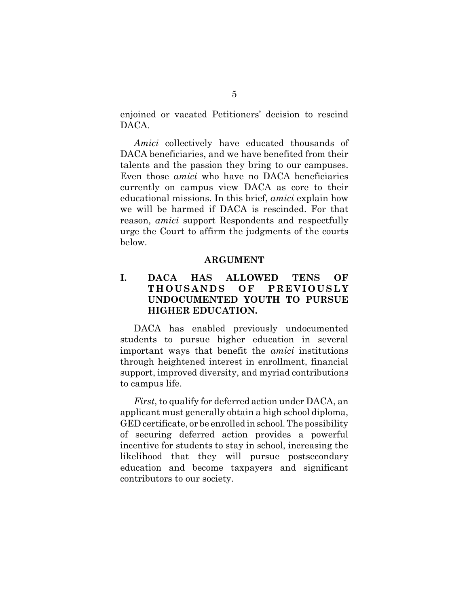enjoined or vacated Petitioners' decision to rescind DACA.

*Amici* collectively have educated thousands of DACA beneficiaries, and we have benefited from their talents and the passion they bring to our campuses. Even those *amici* who have no DACA beneficiaries currently on campus view DACA as core to their educational missions. In this brief, *amici* explain how we will be harmed if DACA is rescinded. For that reason, *amici* support Respondents and respectfully urge the Court to affirm the judgments of the courts below.

#### **ARGUMENT**

## **I. DACA HAS ALLOWED TENS OF T H O U S A N D S O F P R E V I O U S L Y UNDOCUMENTED YOUTH TO PURSUE HIGHER EDUCATION.**

DACA has enabled previously undocumented students to pursue higher education in several important ways that benefit the *amici* institutions through heightened interest in enrollment, financial support, improved diversity, and myriad contributions to campus life.

*First*, to qualify for deferred action under DACA, an applicant must generally obtain a high school diploma, GED certificate, or be enrolled in school. The possibility of securing deferred action provides a powerful incentive for students to stay in school, increasing the likelihood that they will pursue postsecondary education and become taxpayers and significant contributors to our society.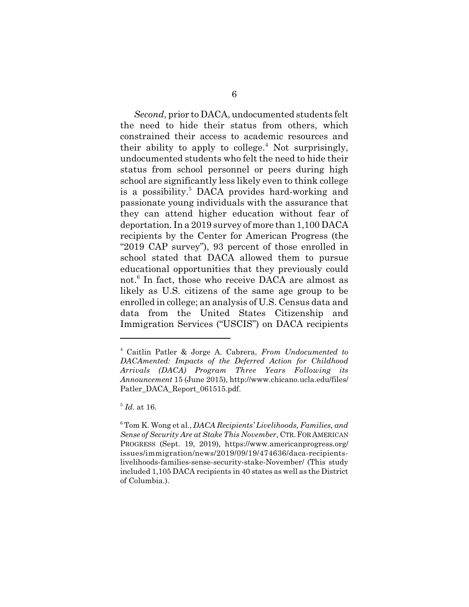*Second*, prior to DACA, undocumented students felt the need to hide their status from others, which constrained their access to academic resources and their ability to apply to college.<sup>4</sup> Not surprisingly, undocumented students who felt the need to hide their status from school personnel or peers during high school are significantly less likely even to think college is a possibility.<sup>5</sup> DACA provides hard-working and passionate young individuals with the assurance that they can attend higher education without fear of deportation. In a 2019 survey of more than 1,100 DACA recipients by the Center for American Progress (the "2019 CAP survey"), 93 percent of those enrolled in school stated that DACA allowed them to pursue educational opportunities that they previously could not.<sup>6</sup> In fact, those who receive DACA are almost as likely as U.S. citizens of the same age group to be enrolled in college; an analysis of U.S. Census data and data from the United States Citizenship and Immigration Services ("USCIS") on DACA recipients

<sup>4</sup> Caitlin Patler & Jorge A. Cabrera, *From Undocumented to DACAmented: Impacts of the Deferred Action for Childhood Arrivals (DACA) Program Three Years Following its Announcement* 15 (June 2015), http://www.chicano.ucla.edu/files/ Patler\_DACA\_Report\_061515.pdf.

<sup>5</sup> *Id.* at 16.

<sup>6</sup> Tom K. Wong et al., *DACA Recipients' Livelihoods, Families, and Sense of Security Are at Stake This November*, CTR.FOR AMERICAN PROGRESS (Sept. 19, 2019), https://www.americanprogress.org/ issues/immigration/news/2019/09/19/474636/daca-recipientslivelihoods-families-sense-security-stake-November/ (This study included 1,105 DACA recipients in 40 states as well as the District of Columbia.).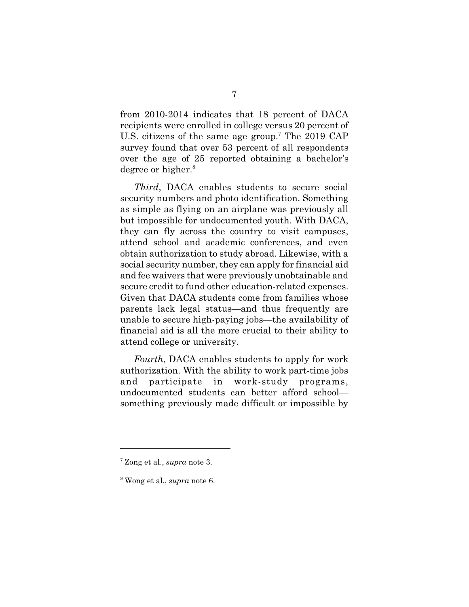from 2010-2014 indicates that 18 percent of DACA recipients were enrolled in college versus 20 percent of U.S. citizens of the same age group.<sup>7</sup> The 2019 CAP survey found that over 53 percent of all respondents over the age of 25 reported obtaining a bachelor's degree or higher.<sup>8</sup>

*Third*, DACA enables students to secure social security numbers and photo identification. Something as simple as flying on an airplane was previously all but impossible for undocumented youth. With DACA, they can fly across the country to visit campuses, attend school and academic conferences, and even obtain authorization to study abroad. Likewise, with a social security number, they can apply for financial aid and fee waivers that were previously unobtainable and secure credit to fund other education-related expenses. Given that DACA students come from families whose parents lack legal status—and thus frequently are unable to secure high-paying jobs—the availability of financial aid is all the more crucial to their ability to attend college or university.

*Fourth*, DACA enables students to apply for work authorization. With the ability to work part-time jobs and participate in work-study programs, undocumented students can better afford school something previously made difficult or impossible by

<sup>7</sup> Zong et al., *supra* note 3.

<sup>8</sup> Wong et al., *supra* note 6.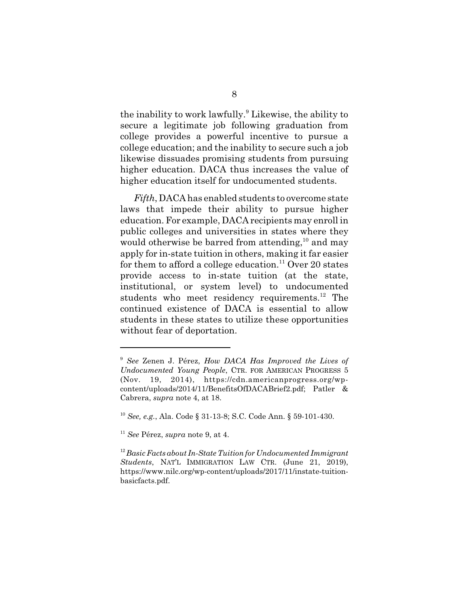the inability to work lawfully.<sup>9</sup> Likewise, the ability to secure a legitimate job following graduation from college provides a powerful incentive to pursue a college education; and the inability to secure such a job likewise dissuades promising students from pursuing higher education. DACA thus increases the value of higher education itself for undocumented students.

*Fifth*, DACA has enabled students to overcome state laws that impede their ability to pursue higher education. For example, DACA recipients may enroll in public colleges and universities in states where they would otherwise be barred from attending,<sup>10</sup> and may apply for in-state tuition in others, making it far easier for them to afford a college education.<sup>11</sup> Over 20 states provide access to in-state tuition (at the state, institutional, or system level) to undocumented students who meet residency requirements. $^{12}$  The continued existence of DACA is essential to allow students in these states to utilize these opportunities without fear of deportation.

<sup>9</sup> *See* Zenen J. Pérez, *How DACA Has Improved the Lives of Undocumented Young People*, CTR. FOR AMERICAN PROGRESS 5 (Nov. 19, 2014), https://cdn.americanprogress.org/wpcontent/uploads/2014/11/BenefitsOfDACABrief2.pdf; Patler & Cabrera, *supra* note 4, at 18.

<sup>10</sup> *See, e.g.*, Ala. Code § 31-13-8; S.C. Code Ann. § 59-101-430.

<sup>11</sup> *See* Pérez, *supra* note 9, at 4.

<sup>12</sup>*Basic Facts about In-State Tuition for Undocumented Immigrant Students*, NAT'L IMMIGRATION LAW CTR. (June 21, 2019), https://www.nilc.org/wp-content/uploads/2017/11/instate-tuitionbasicfacts.pdf.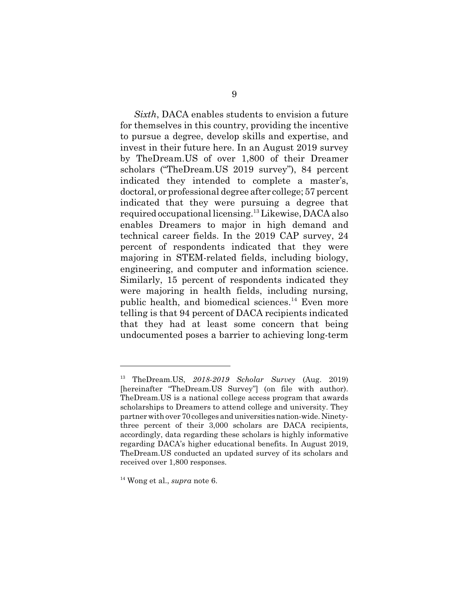*Sixth*, DACA enables students to envision a future for themselves in this country, providing the incentive to pursue a degree, develop skills and expertise, and invest in their future here. In an August 2019 survey by TheDream.US of over 1,800 of their Dreamer scholars ("TheDream.US 2019 survey"), 84 percent indicated they intended to complete a master's, doctoral, or professional degree after college; 57 percent indicated that they were pursuing a degree that required occupational licensing.<sup>13</sup> Likewise, DACA also enables Dreamers to major in high demand and technical career fields. In the 2019 CAP survey, 24 percent of respondents indicated that they were majoring in STEM-related fields, including biology, engineering, and computer and information science. Similarly, 15 percent of respondents indicated they were majoring in health fields, including nursing, public health, and biomedical sciences.<sup>14</sup> Even more telling is that 94 percent of DACA recipients indicated that they had at least some concern that being undocumented poses a barrier to achieving long-term

<sup>13</sup> TheDream.US, *2018-2019 Scholar Survey* (Aug. 2019) [hereinafter "TheDream.US Survey"] (on file with author). TheDream.US is a national college access program that awards scholarships to Dreamers to attend college and university. They partner with over 70 colleges and universities nation-wide. Ninetythree percent of their 3,000 scholars are DACA recipients, accordingly, data regarding these scholars is highly informative regarding DACA's higher educational benefits. In August 2019, TheDream.US conducted an updated survey of its scholars and received over 1,800 responses.

<sup>14</sup> Wong et al., *supra* note 6.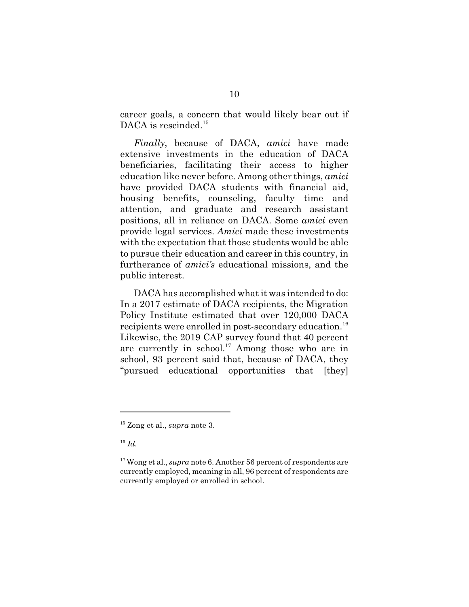career goals, a concern that would likely bear out if DACA is rescinded.<sup>15</sup>

*Finally*, because of DACA, *amici* have made extensive investments in the education of DACA beneficiaries, facilitating their access to higher education like never before. Among other things, *amici* have provided DACA students with financial aid, housing benefits, counseling, faculty time and attention, and graduate and research assistant positions, all in reliance on DACA. Some *amici* even provide legal services. *Amici* made these investments with the expectation that those students would be able to pursue their education and career in this country, in furtherance of *amici's* educational missions, and the public interest.

DACA has accomplished what it was intended to do: In a 2017 estimate of DACA recipients, the Migration Policy Institute estimated that over 120,000 DACA recipients were enrolled in post-secondary education.<sup>16</sup> Likewise, the 2019 CAP survey found that 40 percent are currently in school.<sup>17</sup> Among those who are in school, 93 percent said that, because of DACA, they "pursued educational opportunities that [they]

<sup>16</sup> *Id.*

<sup>15</sup> Zong et al., *supra* note 3.

<sup>&</sup>lt;sup>17</sup> Wong et al., *supra* note 6. Another 56 percent of respondents are currently employed, meaning in all, 96 percent of respondents are currently employed or enrolled in school.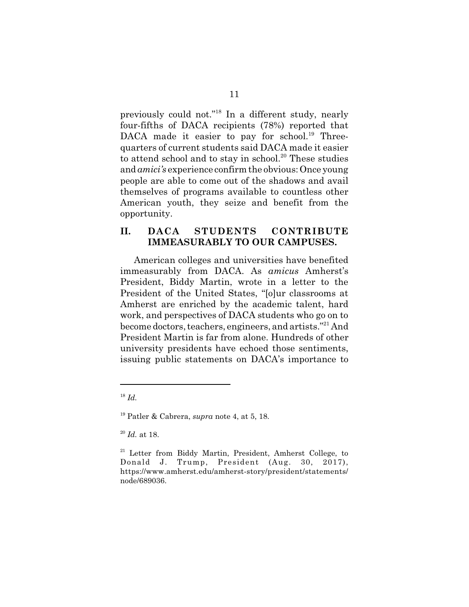previously could not."<sup>18</sup> In a different study, nearly four-fifths of DACA recipients (78%) reported that DACA made it easier to pay for school.<sup>19</sup> Threequarters of current students said DACA made it easier to attend school and to stay in school. $20$  These studies and *amici's* experience confirm the obvious: Once young people are able to come out of the shadows and avail themselves of programs available to countless other American youth, they seize and benefit from the opportunity.

## **II. DACA STUDENTS CONTRIBUTE IMMEASURABLY TO OUR CAMPUSES.**

American colleges and universities have benefited immeasurably from DACA. As *amicus* Amherst's President, Biddy Martin, wrote in a letter to the President of the United States, "[o]ur classrooms at Amherst are enriched by the academic talent, hard work, and perspectives of DACA students who go on to become doctors, teachers, engineers, and artists."<sup>21</sup> And President Martin is far from alone. Hundreds of other university presidents have echoed those sentiments, issuing public statements on DACA's importance to

<sup>18</sup> *Id.*

<sup>19</sup> Patler & Cabrera, *supra* note 4, at 5, 18.

<sup>20</sup> *Id.* at 18.

<sup>&</sup>lt;sup>21</sup> Letter from Biddy Martin, President, Amherst College, to Donald J. Trump, President (Aug. 30, 2017), https://www.amherst.edu/amherst-story/president/statements/ node/689036.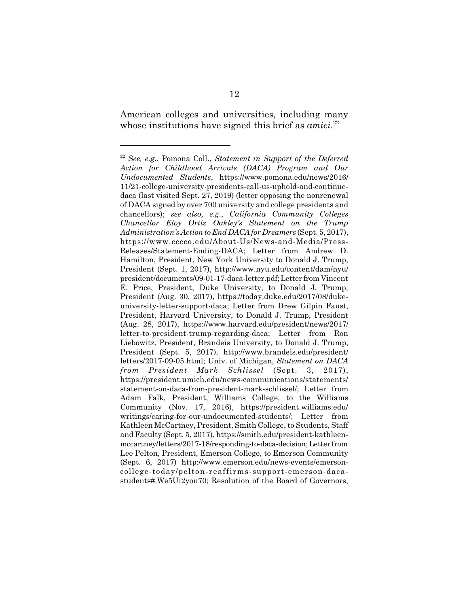American colleges and universities, including many whose institutions have signed this brief as *amici*.<sup>22</sup>

<sup>22</sup> *See, e.g.*, Pomona Coll., *Statement in Support of the Deferred Action for Childhood Arrivals (DACA) Program and Our Undocumented Students*, https://www.pomona.edu/news/2016/ 11/21-college-university-presidents-call-us-uphold-and-continuedaca (last visited Sept. 27, 2019) (letter opposing the nonrenewal of DACA signed by over 700 university and college presidents and chancellors); *see also, e.g.*, *California Community Colleges Chancellor Eloy Ortiz Oakley's Statement on the Trump Administration's Action to End DACA for Dreamers* (Sept. 5, 2017), https://www.cccco.edu/About-Us/News-and-Media/Press-Releases/Statement-Ending-DACA; Letter from Andrew D. Hamilton, President, New York University to Donald J. Trump, President (Sept. 1, 2017), http://www.nyu.edu/content/dam/nyu/ president/documents/09-01-17-daca-letter.pdf; Letter from Vincent E. Price, President, Duke University, to Donald J. Trump, President (Aug. 30, 2017), https://today.duke.edu/2017/08/dukeuniversity-letter-support-daca; Letter from Drew Gilpin Faust, President, Harvard University, to Donald J. Trump, President (Aug. 28, 2017), https://www.harvard.edu/president/news/2017/ letter-to-president-trump-regarding-daca; Letter from Ron Liebowitz, President, Brandeis University, to Donald J. Trump, President (Sept. 5, 2017), http://www.brandeis.edu/president/ letters/2017-09-05.html; Univ. of Michigan, *Statement on DACA from President Mark Schlissel* (Sept. 3, 2017), https://president.umich.edu/news-communications/statements/ statement-on-daca-from-president-mark-schlissel/; Letter from Adam Falk, President, Williams College, to the Williams Community (Nov. 17, 2016), https://president.williams.edu/ writings/caring-for-our-undocumented-students/; Letter from Kathleen McCartney, President, Smith College, to Students, Staff and Faculty (Sept. 5, 2017), https://smith.edu/president-kathleenmccartney/letters/2017-18/responding-to-daca-decision; Letter from Lee Pelton, President, Emerson College, to Emerson Community (Sept. 6, 2017) http://www.emerson.edu/news-events/emersoncollege-today/pelton-reaffirms-support-emerson-dacastudents#.We5Ui2you70; Resolution of the Board of Governors,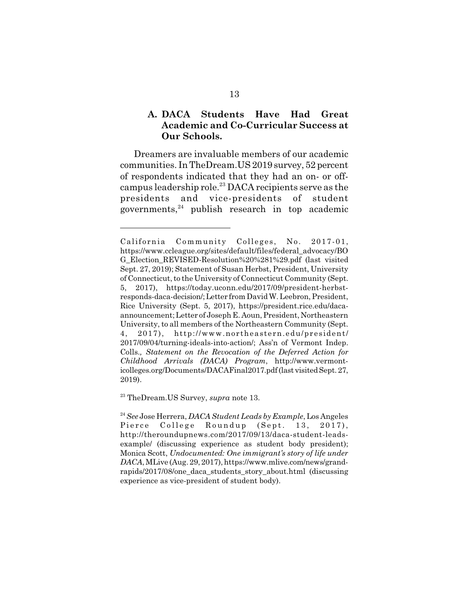# **A. DACA Students Have Had Great Academic and Co-Curricular Success at Our Schools.**

Dreamers are invaluable members of our academic communities. In TheDream.US 2019 survey, 52 percent of respondents indicated that they had an on- or offcampus leadership role.<sup>23</sup> DACA recipients serve as the presidents and vice-presidents of student governments, $24$  publish research in top academic

California Community Colleges, No. 2017-01, https://www.ccleague.org/sites/default/files/federal\_advocacy/BO G\_Election\_REVISED-Resolution%20%281%29.pdf (last visited Sept. 27, 2019); Statement of Susan Herbst, President, University of Connecticut, to the University of Connecticut Community (Sept. 5, 2017), https://today.uconn.edu/2017/09/president-herbstresponds-daca-decision/; Letter from David W. Leebron, President, Rice University (Sept. 5, 2017), https://president.rice.edu/dacaannouncement; Letter of Joseph E. Aoun, President, Northeastern University, to all members of the Northeastern Community (Sept. 4, 2017), http://www.northeastern.edu/president/ 2017/09/04/turning-ideals-into-action/; Ass'n of Vermont Indep. Colls.*, Statement on the Revocation of the Deferred Action for Childhood Arrivals (DACA) Program*, http://www.vermonticolleges.org/Documents/DACAFinal2017.pdf (last visited Sept. 27, 2019).

<sup>23</sup> TheDream.US Survey, *supra* note 13.

<sup>24</sup>*See* Jose Herrera, *DACA Student Leads by Example*, Los Angeles Pierce College Roundup (Sept. 13, 2017), http://theroundupnews.com/2017/09/13/daca-student-leadsexample/ (discussing experience as student body president); Monica Scott, *Undocumented: One immigrant's story of life under DACA*, MLive (Aug. 29, 2017), https://www.mlive.com/news/grandrapids/2017/08/one\_daca\_students\_story\_about.html (discussing experience as vice-president of student body).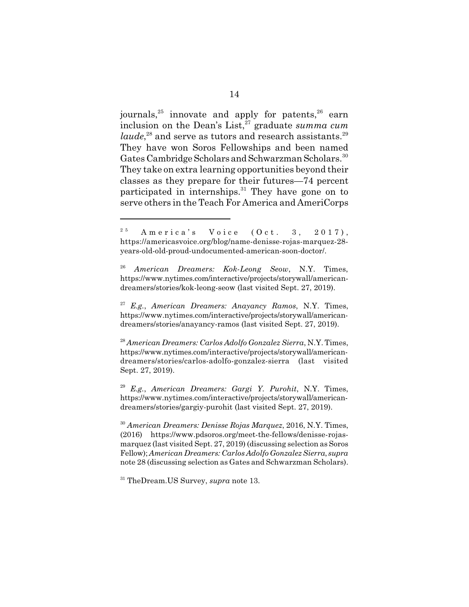journals,  $25$  innovate and apply for patents,  $26$  earn inclusion on the Dean's List,<sup>27</sup> graduate *summa cum laude*,<sup>28</sup> and serve as tutors and research assistants.<sup>29</sup> They have won Soros Fellowships and been named Gates Cambridge Scholars and Schwarzman Scholars.<sup>30</sup> They take on extra learning opportunities beyond their classes as they prepare for their futures—74 percent participated in internships.<sup>31</sup> They have gone on to serve others in the Teach For America and AmeriCorps

 $2^{5}$  America's Voice (Oct. 3, 2017), https://americasvoice.org/blog/name-denisse-rojas-marquez-28 years-old-old-proud-undocumented-american-soon-doctor/.

<sup>26</sup> *American Dreamers: Kok-Leong Seow*, N.Y. Times, https://www.nytimes.com/interactive/projects/storywall/americandreamers/stories/kok-leong-seow (last visited Sept. 27, 2019).

<sup>27</sup> *E.g.*, *American Dreamers: Anayancy Ramos*, N.Y. Times, https://www.nytimes.com/interactive/projects/storywall/americandreamers/stories/anayancy-ramos (last visited Sept. 27, 2019).

<sup>28</sup> *American Dreamers: Carlos Adolfo Gonzalez Sierra*, N.Y. Times, https://www.nytimes.com/interactive/projects/storywall/americandreamers/stories/carlos-adolfo-gonzalez-sierra (last visited Sept. 27, 2019).

<sup>29</sup> *E.g.*, *American Dreamers: Gargi Y. Purohit*, N.Y. Times, https://www.nytimes.com/interactive/projects/storywall/americandreamers/stories/gargiy-purohit (last visited Sept. 27, 2019).

<sup>30</sup> *American Dreamers: Denisse Rojas Marquez*, 2016, N.Y. Times, (2016) https://www.pdsoros.org/meet-the-fellows/denisse-rojasmarquez (last visited Sept. 27, 2019) (discussing selection as Soros Fellow); *American Dreamers: Carlos Adolfo Gonzalez Sierra*, *supra* note 28 (discussing selection as Gates and Schwarzman Scholars).

<sup>31</sup> TheDream.US Survey, *supra* note 13.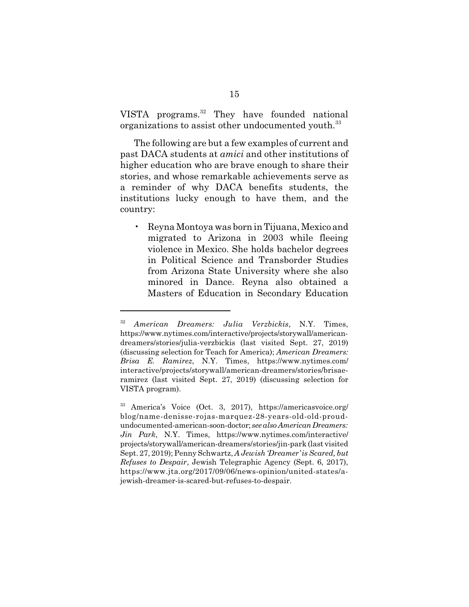VISTA programs.<sup>32</sup> They have founded national organizations to assist other undocumented youth.<sup>33</sup>

The following are but a few examples of current and past DACA students at *amici* and other institutions of higher education who are brave enough to share their stories, and whose remarkable achievements serve as a reminder of why DACA benefits students, the institutions lucky enough to have them, and the country:

• Reyna Montoya was born in Tijuana, Mexico and migrated to Arizona in 2003 while fleeing violence in Mexico. She holds bachelor degrees in Political Science and Transborder Studies from Arizona State University where she also minored in Dance. Reyna also obtained a Masters of Education in Secondary Education

<sup>32</sup> *American Dreamers: Julia Verzbickis*, N.Y. Times, https://www.nytimes.com/interactive/projects/storywall/americandreamers/stories/julia-verzbickis (last visited Sept. 27, 2019) (discussing selection for Teach for America); *American Dreamers: Brisa E. Ramirez*, N.Y. Times, https://www.nytimes.com/ interactive/projects/storywall/american-dreamers/stories/brisaeramirez (last visited Sept. 27, 2019) (discussing selection for VISTA program).

<sup>33</sup> America's Voice (Oct. 3, 2017), https://americasvoice.org/ blog/name-denisse-rojas-marquez-28-years-old-old-proudundocumented-american-soon-doctor; *see also American Dreamers: Jin Park*, N.Y. Times, https://www.nytimes.com/interactive/ projects/storywall/american-dreamers/stories/jin-park (last visited Sept. 27, 2019); Penny Schwartz, *A Jewish 'Dreamer' is Scared, but Refuses to Despair*, Jewish Telegraphic Agency (Sept. 6, 2017), https://www.jta.org/2017/09/06/news-opinion/united-states/ajewish-dreamer-is-scared-but-refuses-to-despair.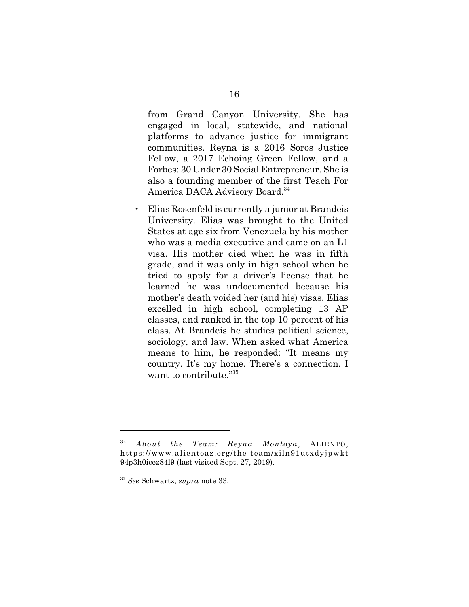from Grand Canyon University. She has engaged in local, statewide, and national platforms to advance justice for immigrant communities. Reyna is a 2016 Soros Justice Fellow, a 2017 Echoing Green Fellow, and a Forbes: 30 Under 30 Social Entrepreneur. She is also a founding member of the first Teach For America DACA Advisory Board.<sup>34</sup>

• Elias Rosenfeld is currently a junior at Brandeis University. Elias was brought to the United States at age six from Venezuela by his mother who was a media executive and came on an L1 visa. His mother died when he was in fifth grade, and it was only in high school when he tried to apply for a driver's license that he learned he was undocumented because his mother's death voided her (and his) visas. Elias excelled in high school, completing 13 AP classes, and ranked in the top 10 percent of his class. At Brandeis he studies political science, sociology, and law. When asked what America means to him, he responded: "It means my country. It's my home. There's a connection. I want to contribute."<sup>35</sup>

<sup>3 4</sup> *About the Team: Reyna Montoya*, ALIENTO, https://www.alientoaz.org/the-team/xiln91utxdyjpwkt 94p3h0icez84l9 (last visited Sept. 27, 2019).

<sup>35</sup> *See* Schwartz, *supra* note 33.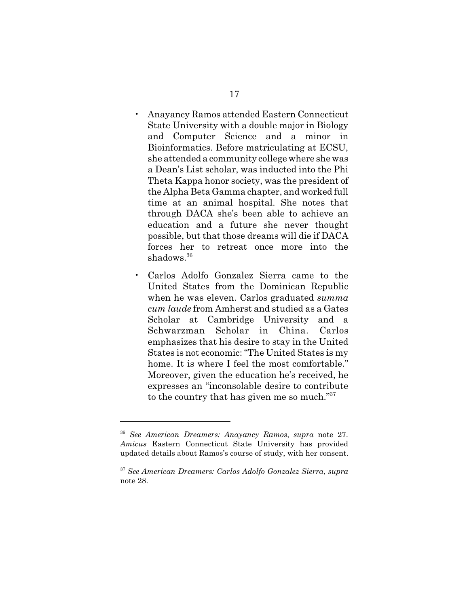- Anayancy Ramos attended Eastern Connecticut State University with a double major in Biology and Computer Science and a minor in Bioinformatics. Before matriculating at ECSU, she attended a community college where she was a Dean's List scholar, was inducted into the Phi Theta Kappa honor society, was the president of the Alpha Beta Gamma chapter, and worked full time at an animal hospital. She notes that through DACA she's been able to achieve an education and a future she never thought possible, but that those dreams will die if DACA forces her to retreat once more into the shadows.<sup>36</sup>
- Carlos Adolfo Gonzalez Sierra came to the United States from the Dominican Republic when he was eleven. Carlos graduated *summa cum laude* from Amherst and studied as a Gates Scholar at Cambridge University and a Schwarzman Scholar in China. Carlos emphasizes that his desire to stay in the United States is not economic: "The United States is my home. It is where I feel the most comfortable." Moreover, given the education he's received, he expresses an "inconsolable desire to contribute to the country that has given me so much."<sup>37</sup>

<sup>36</sup> *See American Dreamers: Anayancy Ramos*, *supra* note 27. *Amicus* Eastern Connecticut State University has provided updated details about Ramos's course of study, with her consent.

<sup>37</sup> *See American Dreamers: Carlos Adolfo Gonzalez Sierra*, *supra* note 28.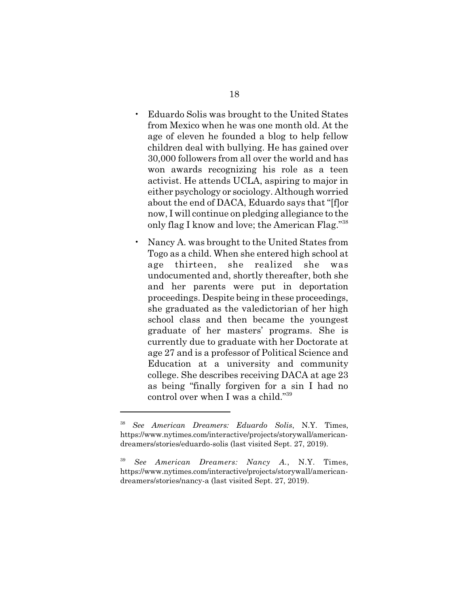- Eduardo Solis was brought to the United States from Mexico when he was one month old. At the age of eleven he founded a blog to help fellow children deal with bullying. He has gained over 30,000 followers from all over the world and has won awards recognizing his role as a teen activist. He attends UCLA, aspiring to major in either psychology or sociology. Although worried about the end of DACA, Eduardo says that "[f]or now, I will continue on pledging allegiance to the only flag I know and love; the American Flag."<sup>38</sup>
	- Nancy A. was brought to the United States from Togo as a child. When she entered high school at age thirteen, she realized she was undocumented and, shortly thereafter, both she and her parents were put in deportation proceedings. Despite being in these proceedings, she graduated as the valedictorian of her high school class and then became the youngest graduate of her masters' programs. She is currently due to graduate with her Doctorate at age 27 and is a professor of Political Science and Education at a university and community college. She describes receiving DACA at age 23 as being "finally forgiven for a sin I had no control over when I was a child."<sup>39</sup>

<sup>38</sup> *See American Dreamers: Eduardo Solis*, N.Y. Times, https://www.nytimes.com/interactive/projects/storywall/americandreamers/stories/eduardo-solis (last visited Sept. 27, 2019).

<sup>39</sup> *See American Dreamers: Nancy A.*, N.Y. Times, https://www.nytimes.com/interactive/projects/storywall/americandreamers/stories/nancy-a (last visited Sept. 27, 2019).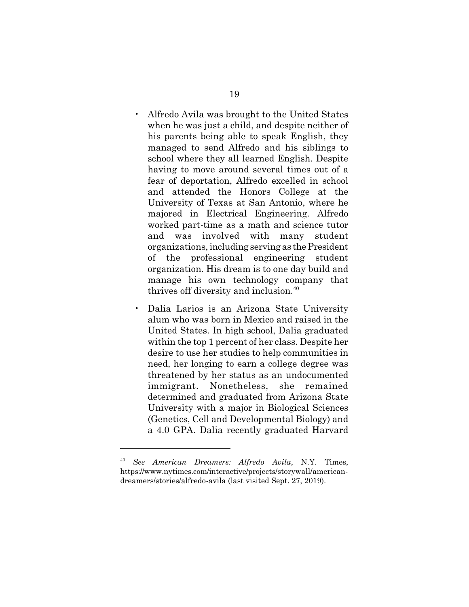- Alfredo Avila was brought to the United States when he was just a child, and despite neither of his parents being able to speak English, they managed to send Alfredo and his siblings to school where they all learned English. Despite having to move around several times out of a fear of deportation, Alfredo excelled in school and attended the Honors College at the University of Texas at San Antonio, where he majored in Electrical Engineering. Alfredo worked part-time as a math and science tutor and was involved with many student organizations, including serving as the President of the professional engineering student organization. His dream is to one day build and manage his own technology company that thrives off diversity and inclusion.<sup>40</sup>
- Dalia Larios is an Arizona State University alum who was born in Mexico and raised in the United States. In high school, Dalia graduated within the top 1 percent of her class. Despite her desire to use her studies to help communities in need, her longing to earn a college degree was threatened by her status as an undocumented immigrant. Nonetheless, she remained determined and graduated from Arizona State University with a major in Biological Sciences (Genetics, Cell and Developmental Biology) and a 4.0 GPA. Dalia recently graduated Harvard

<sup>40</sup> *See American Dreamers: Alfredo Avila*, N.Y. Times, https://www.nytimes.com/interactive/projects/storywall/americandreamers/stories/alfredo-avila (last visited Sept. 27, 2019).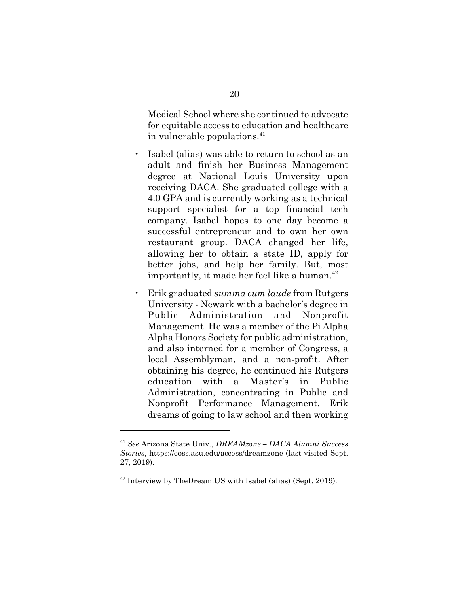Medical School where she continued to advocate for equitable access to education and healthcare in vulnerable populations.<sup>41</sup>

- Isabel (alias) was able to return to school as an adult and finish her Business Management degree at National Louis University upon receiving DACA. She graduated college with a 4.0 GPA and is currently working as a technical support specialist for a top financial tech company. Isabel hopes to one day become a successful entrepreneur and to own her own restaurant group. DACA changed her life, allowing her to obtain a state ID, apply for better jobs, and help her family. But, most importantly, it made her feel like a human. $42$
- Erik graduated *summa cum laude* from Rutgers University - Newark with a bachelor's degree in Public Administration and Nonprofit Management. He was a member of the Pi Alpha Alpha Honors Society for public administration, and also interned for a member of Congress, a local Assemblyman, and a non-profit. After obtaining his degree, he continued his Rutgers education with a Master's in Public Administration, concentrating in Public and Nonprofit Performance Management. Erik dreams of going to law school and then working

<sup>41</sup> *See* Arizona State Univ., *DREAMzone – DACA Alumni Success Stories*, https://eoss.asu.edu/access/dreamzone (last visited Sept. 27, 2019).

 $42$  Interview by TheDream.US with Isabel (alias) (Sept. 2019).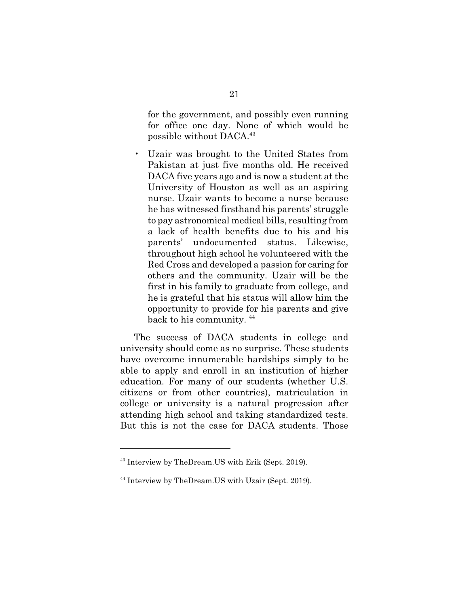for the government, and possibly even running for office one day. None of which would be possible without DACA.<sup>43</sup>

• Uzair was brought to the United States from Pakistan at just five months old. He received DACA five years ago and is now a student at the University of Houston as well as an aspiring nurse. Uzair wants to become a nurse because he has witnessed firsthand his parents' struggle to pay astronomical medical bills, resulting from a lack of health benefits due to his and his parents' undocumented status. Likewise, throughout high school he volunteered with the Red Cross and developed a passion for caring for others and the community. Uzair will be the first in his family to graduate from college, and he is grateful that his status will allow him the opportunity to provide for his parents and give back to his community. <sup>44</sup>

The success of DACA students in college and university should come as no surprise. These students have overcome innumerable hardships simply to be able to apply and enroll in an institution of higher education. For many of our students (whether U.S. citizens or from other countries), matriculation in college or university is a natural progression after attending high school and taking standardized tests. But this is not the case for DACA students. Those

<sup>43</sup> Interview by TheDream.US with Erik (Sept. 2019).

<sup>44</sup> Interview by TheDream.US with Uzair (Sept. 2019).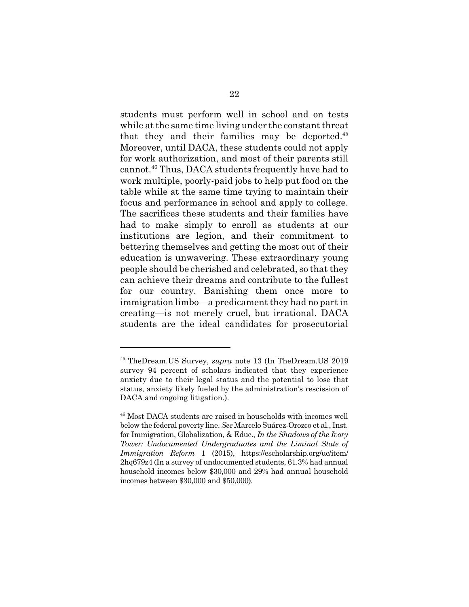students must perform well in school and on tests while at the same time living under the constant threat that they and their families may be deported. $45$ Moreover, until DACA, these students could not apply for work authorization, and most of their parents still cannot.<sup>46</sup> Thus, DACA students frequently have had to work multiple, poorly-paid jobs to help put food on the table while at the same time trying to maintain their focus and performance in school and apply to college. The sacrifices these students and their families have had to make simply to enroll as students at our institutions are legion, and their commitment to bettering themselves and getting the most out of their education is unwavering. These extraordinary young people should be cherished and celebrated, so that they can achieve their dreams and contribute to the fullest for our country. Banishing them once more to immigration limbo—a predicament they had no part in creating—is not merely cruel, but irrational. DACA students are the ideal candidates for prosecutorial

<sup>45</sup> TheDream.US Survey, *supra* note 13 (In TheDream.US 2019 survey 94 percent of scholars indicated that they experience anxiety due to their legal status and the potential to lose that status, anxiety likely fueled by the administration's rescission of DACA and ongoing litigation.).

<sup>46</sup> Most DACA students are raised in households with incomes well below the federal poverty line. *See* Marcelo Suárez-Orozco et al., Inst. for Immigration, Globalization, & Educ., *In the Shadows of the Ivory Tower: Undocumented Undergraduates and the Liminal State of Immigration Reform* 1 (2015), https://escholarship.org/uc/item/ 2hq679z4 (In a survey of undocumented students, 61.3% had annual household incomes below \$30,000 and 29% had annual household incomes between \$30,000 and \$50,000).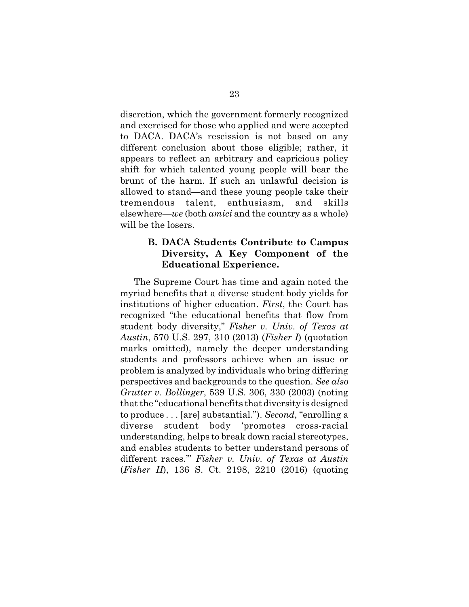discretion, which the government formerly recognized and exercised for those who applied and were accepted to DACA. DACA's rescission is not based on any different conclusion about those eligible; rather, it appears to reflect an arbitrary and capricious policy shift for which talented young people will bear the brunt of the harm. If such an unlawful decision is allowed to stand—and these young people take their tremendous talent, enthusiasm, and skills elsewhere—*we* (both *amici* and the country as a whole) will be the losers.

## **B. DACA Students Contribute to Campus Diversity, A Key Component of the Educational Experience.**

The Supreme Court has time and again noted the myriad benefits that a diverse student body yields for institutions of higher education. *First*, the Court has recognized "the educational benefits that flow from student body diversity," *Fisher v. Univ. of Texas at Austin*, 570 U.S. 297, 310 (2013) (*Fisher I*) (quotation marks omitted), namely the deeper understanding students and professors achieve when an issue or problem is analyzed by individuals who bring differing perspectives and backgrounds to the question. *See also Grutter v. Bollinger*, 539 U.S. 306, 330 (2003) (noting that the "educational benefits that diversity is designed to produce . . . [are] substantial."). *Second*, "enrolling a diverse student body 'promotes cross-racial understanding, helps to break down racial stereotypes, and enables students to better understand persons of different races.'" *Fisher v. Univ. of Texas at Austin* (*Fisher II*), 136 S. Ct. 2198, 2210 (2016) (quoting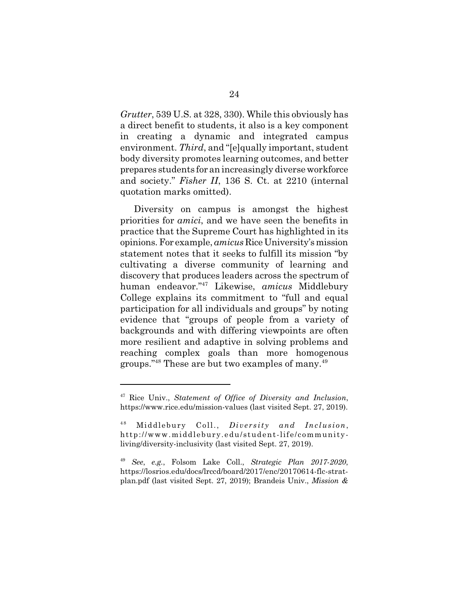*Grutter*, 539 U.S. at 328, 330). While this obviously has a direct benefit to students, it also is a key component in creating a dynamic and integrated campus environment. *Third*, and "[e]qually important, student body diversity promotes learning outcomes, and better prepares students for an increasingly diverse workforce and society." *Fisher II*, 136 S. Ct. at 2210 (internal quotation marks omitted).

Diversity on campus is amongst the highest priorities for *amici*, and we have seen the benefits in practice that the Supreme Court has highlighted in its opinions. For example, *amicus* Rice University's mission statement notes that it seeks to fulfill its mission "by cultivating a diverse community of learning and discovery that produces leaders across the spectrum of human endeavor."<sup>47</sup> Likewise, *amicus* Middlebury College explains its commitment to "full and equal participation for all individuals and groups" by noting evidence that "groups of people from a variety of backgrounds and with differing viewpoints are often more resilient and adaptive in solving problems and reaching complex goals than more homogenous groups."<sup>48</sup> These are but two examples of many.<sup>49</sup>

<sup>47</sup> Rice Univ., *Statement of Office of Diversity and Inclusion*, https://www.rice.edu/mission-values (last visited Sept. 27, 2019).

<sup>&</sup>lt;sup>48</sup> Middlebury Coll., *Diversity and Inclusion*, http://www.middlebury.edu/student-life/communityliving/diversity-inclusivity (last visited Sept. 27, 2019).

<sup>49</sup> *See*, *e.g.*, Folsom Lake Coll., *Strategic Plan 2017-2020*, https://losrios.edu/docs/lrccd/board/2017/enc/20170614-flc-stratplan.pdf (last visited Sept. 27, 2019); Brandeis Univ., *Mission &*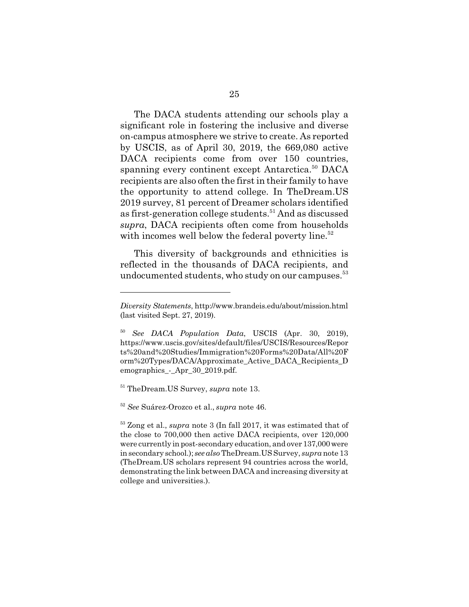The DACA students attending our schools play a significant role in fostering the inclusive and diverse on-campus atmosphere we strive to create. As reported by USCIS, as of April 30, 2019, the 669,080 active DACA recipients come from over 150 countries, spanning every continent except Antarctica.<sup>50</sup> DACA recipients are also often the first in their family to have the opportunity to attend college. In TheDream.US 2019 survey, 81 percent of Dreamer scholars identified as first-generation college students.<sup>51</sup> And as discussed *supra*, DACA recipients often come from households with incomes well below the federal poverty line.<sup>52</sup>

This diversity of backgrounds and ethnicities is reflected in the thousands of DACA recipients, and undocumented students, who study on our campuses.<sup>53</sup>

<sup>51</sup> TheDream.US Survey, *supra* note 13.

<sup>52</sup> *See* Suárez-Orozco et al., *supra* note 46.

*Diversity Statements*, http://www.brandeis.edu/about/mission.html (last visited Sept. 27, 2019).

<sup>50</sup> *See DACA Population Data*, USCIS (Apr. 30, 2019), https://www.uscis.gov/sites/default/files/USCIS/Resources/Repor ts%20and%20Studies/Immigration%20Forms%20Data/All%20F orm%20Types/DACA/Approximate\_Active\_DACA\_Recipients\_D emographics\_-\_Apr\_30\_2019.pdf.

<sup>53</sup> Zong et al., *supra* note 3 (In fall 2017, it was estimated that of the close to 700,000 then active DACA recipients, over 120,000 were currently in post-secondary education, and over 137,000 were in secondary school.); *see also* TheDream.US Survey, *supra* note 13 (TheDream.US scholars represent 94 countries across the world, demonstrating the link between DACA and increasing diversity at college and universities.).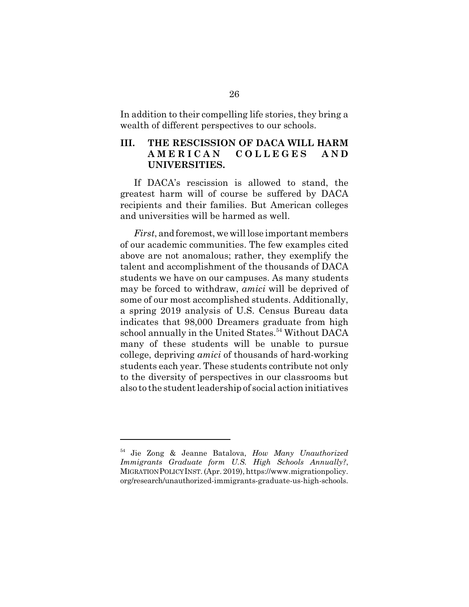In addition to their compelling life stories, they bring a wealth of different perspectives to our schools.

## **III. THE RESCISSION OF DACA WILL HARM A M E R I C A N C O L L E G E S A N D UNIVERSITIES.**

If DACA's rescission is allowed to stand, the greatest harm will of course be suffered by DACA recipients and their families. But American colleges and universities will be harmed as well.

*First*, and foremost, we will lose important members of our academic communities. The few examples cited above are not anomalous; rather, they exemplify the talent and accomplishment of the thousands of DACA students we have on our campuses. As many students may be forced to withdraw, *amici* will be deprived of some of our most accomplished students. Additionally, a spring 2019 analysis of U.S. Census Bureau data indicates that 98,000 Dreamers graduate from high school annually in the United States.<sup>54</sup> Without DACA many of these students will be unable to pursue college, depriving *amici* of thousands of hard-working students each year. These students contribute not only to the diversity of perspectives in our classrooms but also to the student leadership of social action initiatives

<sup>54</sup> Jie Zong & Jeanne Batalova, *How Many Unauthorized Immigrants Graduate form U.S. High Schools Annually?*, MIGRATION POLICY INST. (Apr. 2019), https://www.migrationpolicy. org/research/unauthorized-immigrants-graduate-us-high-schools.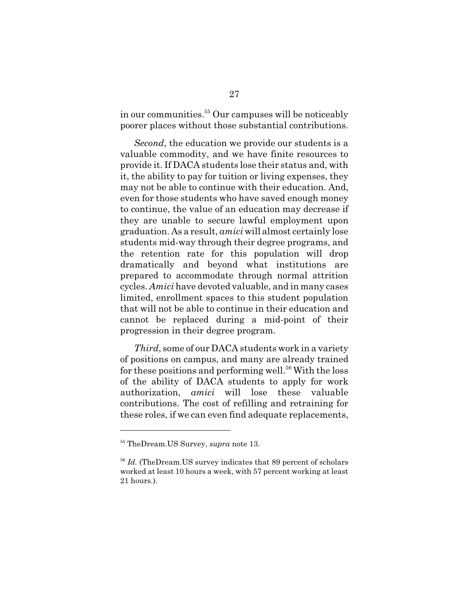in our communities.<sup>55</sup> Our campuses will be noticeably poorer places without those substantial contributions.

*Second*, the education we provide our students is a valuable commodity, and we have finite resources to provide it. If DACA students lose their status and, with it, the ability to pay for tuition or living expenses, they may not be able to continue with their education. And, even for those students who have saved enough money to continue, the value of an education may decrease if they are unable to secure lawful employment upon graduation. As a result, *amici* will almost certainly lose students mid-way through their degree programs, and the retention rate for this population will drop dramatically and beyond what institutions are prepared to accommodate through normal attrition cycles. *Amici* have devoted valuable, and in many cases limited, enrollment spaces to this student population that will not be able to continue in their education and cannot be replaced during a mid-point of their progression in their degree program.

*Third*, some of our DACA students work in a variety of positions on campus, and many are already trained for these positions and performing well.<sup>56</sup> With the loss of the ability of DACA students to apply for work authorization, *amici* will lose these valuable contributions. The cost of refilling and retraining for these roles, if we can even find adequate replacements,

<sup>55</sup> TheDream.US Survey, *supra* note 13.

<sup>56</sup> *Id.* (TheDream.US survey indicates that 89 percent of scholars worked at least 10 hours a week, with 57 percent working at least 21 hours.).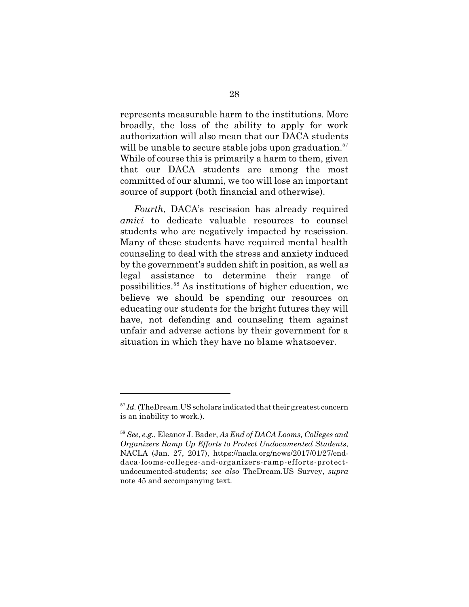represents measurable harm to the institutions. More broadly, the loss of the ability to apply for work authorization will also mean that our DACA students will be unable to secure stable jobs upon graduation.<sup>57</sup> While of course this is primarily a harm to them, given that our DACA students are among the most committed of our alumni, we too will lose an important source of support (both financial and otherwise).

*Fourth*, DACA's rescission has already required *amici* to dedicate valuable resources to counsel students who are negatively impacted by rescission. Many of these students have required mental health counseling to deal with the stress and anxiety induced by the government's sudden shift in position, as well as legal assistance to determine their range of possibilities.<sup>58</sup> As institutions of higher education, we believe we should be spending our resources on educating our students for the bright futures they will have, not defending and counseling them against unfair and adverse actions by their government for a situation in which they have no blame whatsoever.

<sup>&</sup>lt;sup>57</sup> *Id.* (TheDream.US scholars indicated that their greatest concern is an inability to work.).

<sup>58</sup> *See*, *e.g.*, Eleanor J. Bader, *As End of DACA Looms, Colleges and Organizers Ramp Up Efforts to Protect Undocumented Students*, NACLA (Jan. 27, 2017), https://nacla.org/news/2017/01/27/enddaca-looms-colleges-and-organizers-ramp-efforts-protectundocumented-students; *see also* TheDream.US Survey, *supra* note 45 and accompanying text.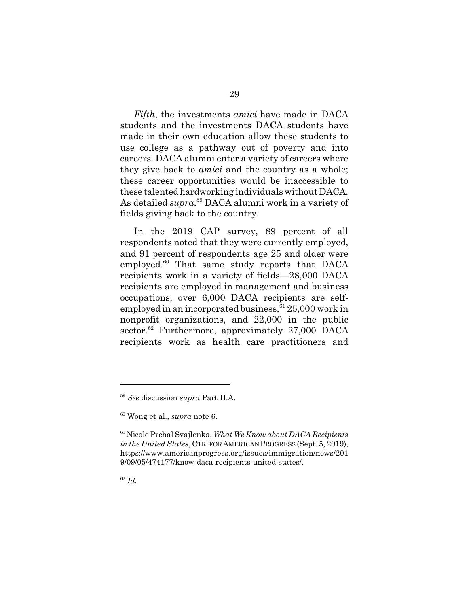*Fifth*, the investments *amici* have made in DACA students and the investments DACA students have made in their own education allow these students to use college as a pathway out of poverty and into careers. DACA alumni enter a variety of careers where they give back to *amici* and the country as a whole; these career opportunities would be inaccessible to these talented hardworking individuals without DACA. As detailed *supra*, <sup>59</sup> DACA alumni work in a variety of fields giving back to the country.

In the 2019 CAP survey, 89 percent of all respondents noted that they were currently employed, and 91 percent of respondents age 25 and older were employed.<sup>60</sup> That same study reports that DACA recipients work in a variety of fields—28,000 DACA recipients are employed in management and business occupations, over 6,000 DACA recipients are selfemployed in an incorporated business,  $6125,000$  work in nonprofit organizations, and 22,000 in the public sector.<sup>62</sup> Furthermore, approximately 27,000 DACA recipients work as health care practitioners and

<sup>59</sup> *See* discussion *supra* Part II.A.

<sup>60</sup> Wong et al., *supra* note 6.

<sup>61</sup> Nicole Prchal Svajlenka, *What We Know about DACA Recipients in the United States*, CTR. FOR AMERICAN PROGRESS (Sept. 5, 2019), https://www.americanprogress.org/issues/immigration/news/201 9/09/05/474177/know-daca-recipients-united-states/.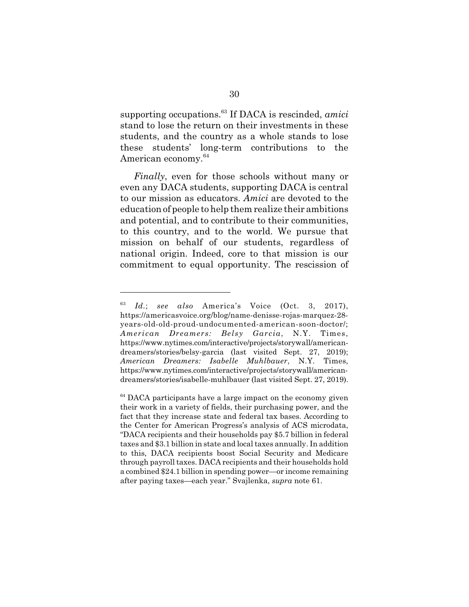supporting occupations.<sup>63</sup> If DACA is rescinded, *amici* stand to lose the return on their investments in these students, and the country as a whole stands to lose these students' long-term contributions to the American economy.<sup>64</sup>

*Finally*, even for those schools without many or even any DACA students, supporting DACA is central to our mission as educators. *Amici* are devoted to the education of people to help them realize their ambitions and potential, and to contribute to their communities, to this country, and to the world. We pursue that mission on behalf of our students, regardless of national origin. Indeed, core to that mission is our commitment to equal opportunity. The rescission of

<sup>63</sup> *Id.*; *see also* America's Voice (Oct. 3, 2017), https://americasvoice.org/blog/name-denisse-rojas-marquez-28 years-old-old-proud-undocumented-american-soon-doctor/; *American Dreamers: Belsy Garcia*, N.Y. Times, https://www.nytimes.com/interactive/projects/storywall/americandreamers/stories/belsy-garcia (last visited Sept. 27, 2019); *American Dreamers: Isabelle Muhlbauer*, N.Y. Times, https://www.nytimes.com/interactive/projects/storywall/americandreamers/stories/isabelle-muhlbauer (last visited Sept. 27, 2019).

<sup>&</sup>lt;sup>64</sup> DACA participants have a large impact on the economy given their work in a variety of fields, their purchasing power, and the fact that they increase state and federal tax bases. According to the Center for American Progress's analysis of ACS microdata, "DACA recipients and their households pay \$5.7 billion in federal taxes and \$3.1 billion in state and local taxes annually. In addition to this, DACA recipients boost Social Security and Medicare through payroll taxes. DACA recipients and their households hold a combined \$24.1 billion in spending power—or income remaining after paying taxes—each year." Svajlenka, *supra* note 61.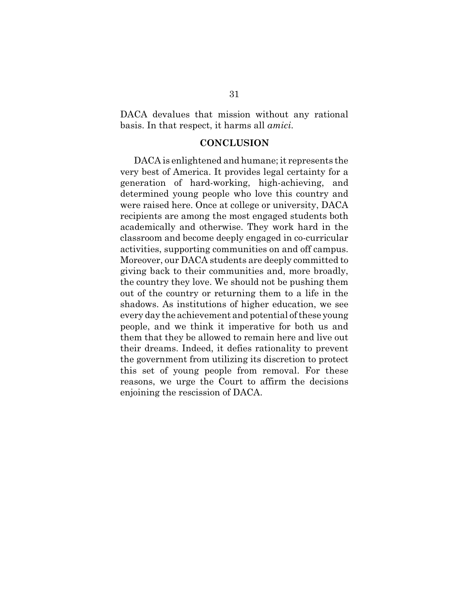DACA devalues that mission without any rational basis. In that respect, it harms all *amici*.

#### **CONCLUSION**

DACA is enlightened and humane; it represents the very best of America. It provides legal certainty for a generation of hard-working, high-achieving, and determined young people who love this country and were raised here. Once at college or university, DACA recipients are among the most engaged students both academically and otherwise. They work hard in the classroom and become deeply engaged in co-curricular activities, supporting communities on and off campus. Moreover, our DACA students are deeply committed to giving back to their communities and, more broadly, the country they love. We should not be pushing them out of the country or returning them to a life in the shadows. As institutions of higher education, we see every day the achievement and potential of these young people, and we think it imperative for both us and them that they be allowed to remain here and live out their dreams. Indeed, it defies rationality to prevent the government from utilizing its discretion to protect this set of young people from removal. For these reasons, we urge the Court to affirm the decisions enjoining the rescission of DACA.